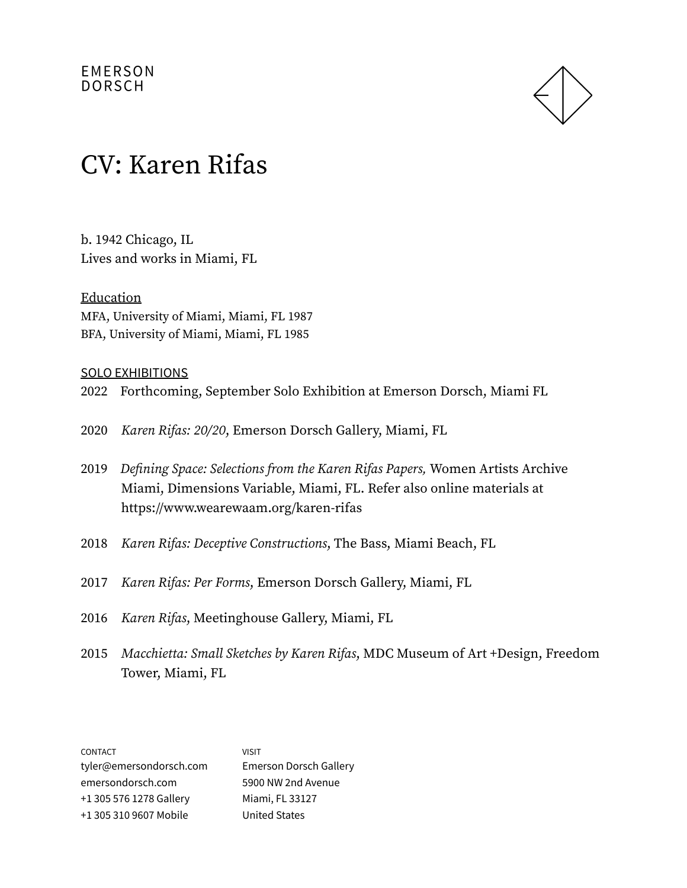

### CV: Karen Rifas

b. 1942 Chicago, IL Lives and works in Miami, FL

Education MFA, University of Miami, Miami, FL 1987 BFA, University of Miami, Miami, FL 1985

#### SOLO EXHIBITIONS

- 2022 Forthcoming, September Solo Exhibition at Emerson Dorsch, Miami FL
- 2020 Karen Rifas: 20/20, Emerson Dorsch Gallery, Miami, FL
- 2019 Defining Space: Selections from the Karen Rifas Papers, Women Artists Archive Miami, Dimensions Variable, Miami, FL. Refer also online materials at https://www.wearewaam.org/karen-rifas
- 2018 Karen Rifas: Deceptive Constructions, The Bass, Miami Beach, FL
- 2017 Karen Rifas: Per Forms, Emerson Dorsch Gallery, Miami, FL
- 2016 Karen Rifas, Meetinghouse Gallery, Miami, FL
- 2015 Macchietta: Small Sketches by Karen Rifas, MDC Museum of Art +Design, Freedom Tower, Miami, FL

CONTACT tyler@emersondorsch.com emersondorsch.com +1 305 576 1278 Gallery +1 305 310 9607 Mobile VISIT Emerson Dorsch Gallery 5900 NW 2nd Avenue Miami, FL 33127 United States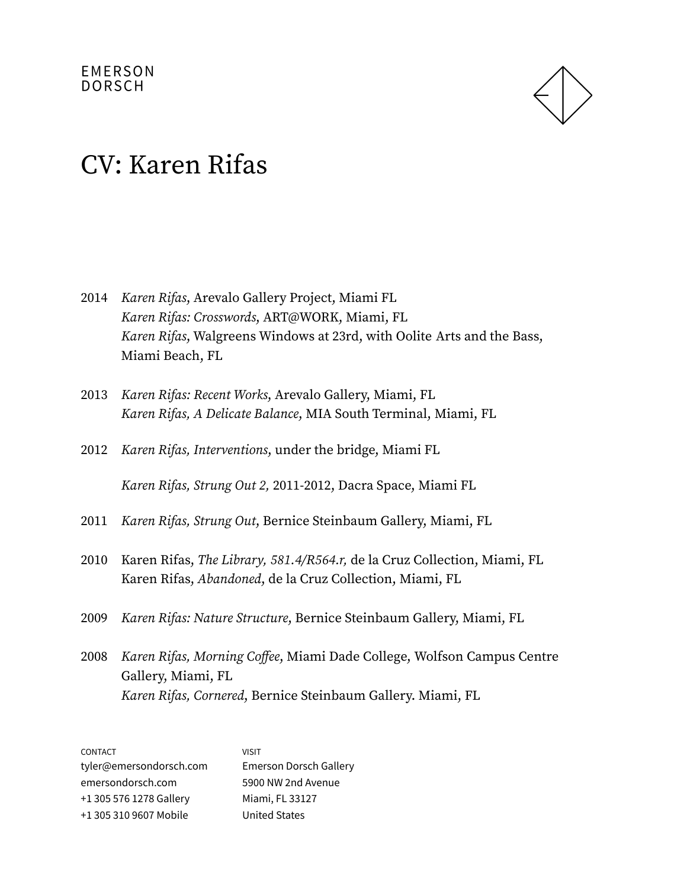

- 2014 Karen Rifas, Arevalo Gallery Project, Miami FL Karen Rifas: Crosswords, ART@WORK, Miami, FL Karen Rifas, Walgreens Windows at 23rd, with Oolite Arts and the Bass, Miami Beach, FL
- 2013 Karen Rifas: Recent Works, Arevalo Gallery, Miami, FL Karen Rifas, A Delicate Balance, MIA South Terminal, Miami, FL
- 2012 Karen Rifas, Interventions, under the bridge, Miami FL

Karen Rifas, Strung Out 2, 2011-2012, Dacra Space, Miami FL

- 2011 Karen Rifas, Strung Out, Bernice Steinbaum Gallery, Miami, FL
- 2010 Karen Rifas, The Library, 581.4/R564.r, de la Cruz Collection, Miami, FL Karen Rifas, Abandoned, de la Cruz Collection, Miami, FL
- 2009 Karen Rifas: Nature Structure, Bernice Steinbaum Gallery, Miami, FL
- 2008 Karen Rifas, Morning Coffee, Miami Dade College, Wolfson Campus Centre Gallery, Miami, FL Karen Rifas, Cornered, Bernice Steinbaum Gallery. Miami, FL

| <b>CONTACT</b>          | <b>VISIT</b>                  |
|-------------------------|-------------------------------|
| tyler@emersondorsch.com | <b>Emerson Dorsch Gallery</b> |
| emersondorsch.com       | 5900 NW 2nd Avenue            |
| +1 305 576 1278 Gallery | Miami, FL 33127               |
| +1 305 310 9607 Mobile  | <b>United States</b>          |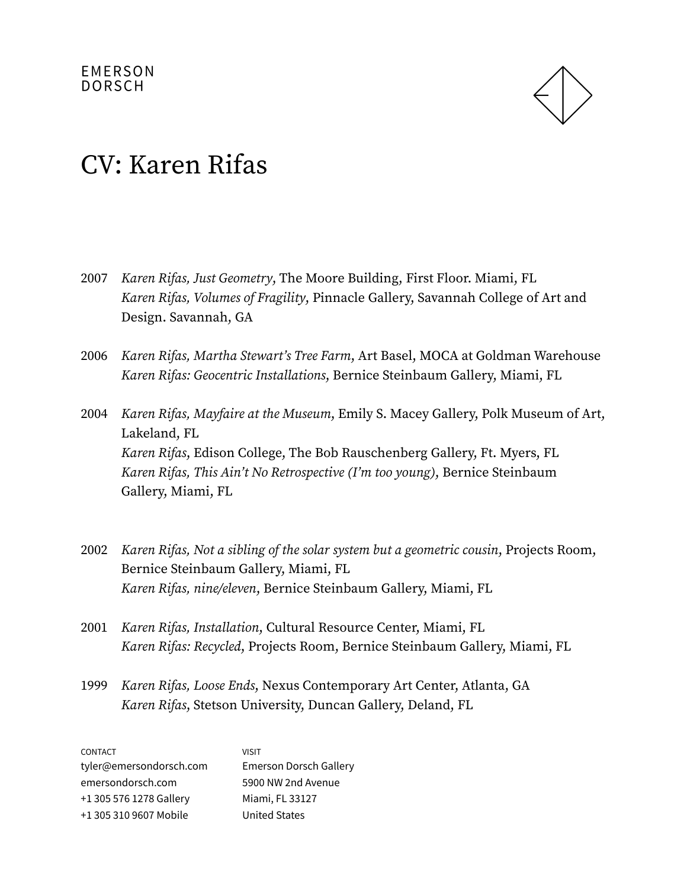

- 2007 Karen Rifas, Just Geometry, The Moore Building, First Floor. Miami, FL Karen Rifas, Volumes of Fragility, Pinnacle Gallery, Savannah College of Art and Design. Savannah, GA
- 2006 Karen Rifas, Martha Stewart's Tree Farm, Art Basel, MOCA at Goldman Warehouse Karen Rifas: Geocentric Installations, Bernice Steinbaum Gallery, Miami, FL
- 2004 Karen Rifas, Mayfaire at the Museum, Emily S. Macey Gallery, Polk Museum of Art, Lakeland, FL Karen Rifas, Edison College, The Bob Rauschenberg Gallery, Ft. Myers, FL Karen Rifas, This Ain't No Retrospective (I'm too young), Bernice Steinbaum Gallery, Miami, FL
- 2002 Karen Rifas, Not a sibling of the solar system but a geometric cousin, Projects Room, Bernice Steinbaum Gallery, Miami, FL Karen Rifas, nine/eleven, Bernice Steinbaum Gallery, Miami, FL
- 2001 Karen Rifas, Installation, Cultural Resource Center, Miami, FL Karen Rifas: Recycled, Projects Room, Bernice Steinbaum Gallery, Miami, FL
- 1999 Karen Rifas, Loose Ends, Nexus Contemporary Art Center, Atlanta, GA Karen Rifas, Stetson University, Duncan Gallery, Deland, FL

| <b>CONTACT</b>          | <b>VISIT</b>                  |
|-------------------------|-------------------------------|
| tyler@emersondorsch.com | <b>Emerson Dorsch Gallery</b> |
| emersondorsch.com       | 5900 NW 2nd Avenue            |
| +1 305 576 1278 Gallery | Miami, FL 33127               |
| +1 305 310 9607 Mobile  | <b>United States</b>          |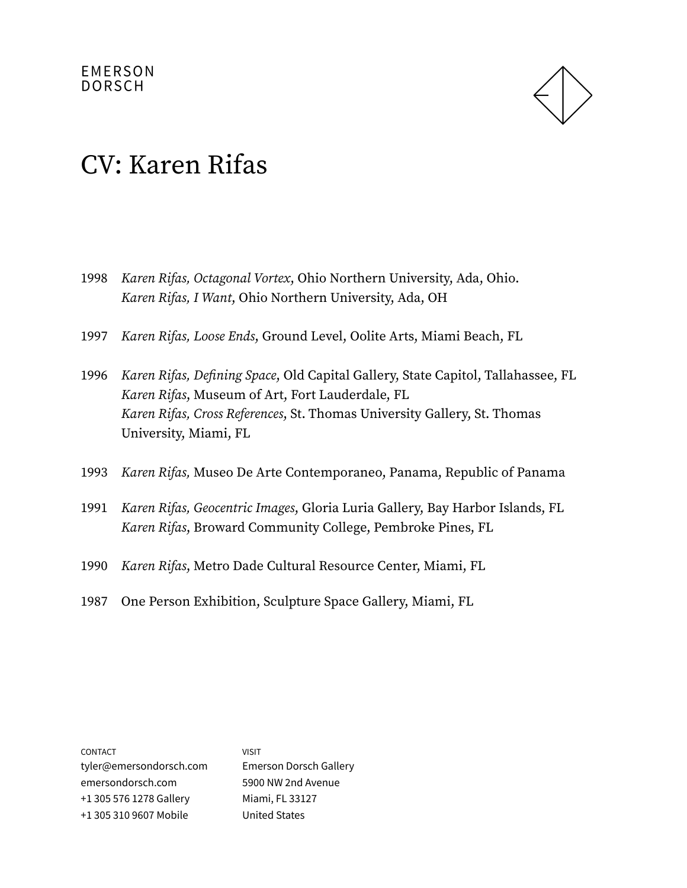

- 1998 Karen Rifas, Octagonal Vortex, Ohio Northern University, Ada, Ohio. Karen Rifas, I Want, Ohio Northern University, Ada, OH
- 1997 Karen Rifas, Loose Ends, Ground Level, Oolite Arts, Miami Beach, FL
- 1996 Karen Rifas, Defining Space, Old Capital Gallery, State Capitol, Tallahassee, FL Karen Rifas, Museum of Art, Fort Lauderdale, FL Karen Rifas, Cross References, St. Thomas University Gallery, St. Thomas University, Miami, FL
- 1993 Karen Rifas, Museo De Arte Contemporaneo, Panama, Republic of Panama
- 1991 Karen Rifas, Geocentric Images, Gloria Luria Gallery, Bay Harbor Islands, FL Karen Rifas, Broward Community College, Pembroke Pines, FL
- 1990 Karen Rifas, Metro Dade Cultural Resource Center, Miami, FL
- 1987 One Person Exhibition, Sculpture Space Gallery, Miami, FL

| <b>CONTACT</b>          | VISIT                         |
|-------------------------|-------------------------------|
| tyler@emersondorsch.com | <b>Emerson Dorsch Gallery</b> |
| emersondorsch.com       | 5900 NW 2nd Avenue            |
| +1 305 576 1278 Gallery | Miami, FL 33127               |
| +1 305 310 9607 Mobile  | <b>United States</b>          |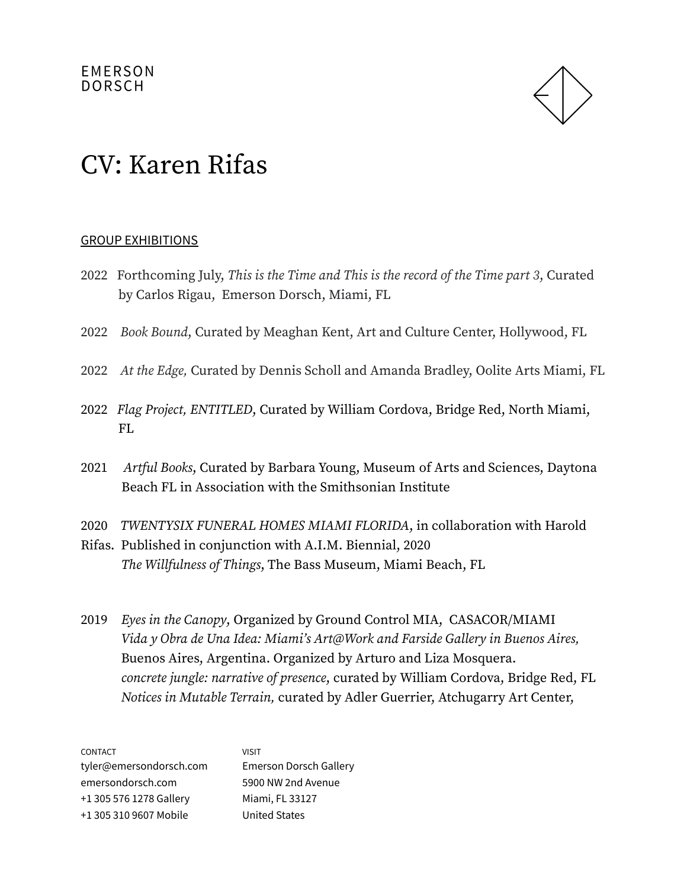

#### GROUP EXHIBITIONS

- 2022 Forthcoming July, This is the Time and This is the record of the Time part 3, Curated by Carlos Rigau, Emerson Dorsch, Miami, FL
- 2022 Book Bound, Curated by Meaghan Kent, Art and Culture Center, Hollywood, FL
- 2022 At the Edge, Curated by Dennis Scholl and Amanda Bradley, Oolite Arts Miami, FL
- 2022 Flag Project, ENTITLED, Curated by William Cordova, Bridge Red, North Miami, FL
- 2021 Artful Books, Curated by Barbara Young, Museum of Arts and Sciences, Daytona Beach FL in Association with the Smithsonian Institute
- 2020 TWENTYSIX FUNERAL HOMES MIAMI FLORIDA, in collaboration with Harold
- Rifas. Published in conjunction with A.I.M. Biennial, 2020 The Willfulness of Things, The Bass Museum, Miami Beach, FL
- 2019 Eyes in the Canopy, Organized by Ground Control MIA, CASACOR/MIAMI Vida y Obra de Una Idea: Miami's Art@Work and Farside Gallery in Buenos Aires, Buenos Aires, Argentina. Organized by Arturo and Liza Mosquera. concrete jungle: narrative of presence, curated by William Cordova, Bridge Red, FL Notices in Mutable Terrain, curated by Adler Guerrier, Atchugarry Art Center,

| <b>CONTACT</b>          | VISIT                         |
|-------------------------|-------------------------------|
| tyler@emersondorsch.com | <b>Emerson Dorsch Gallery</b> |
| emersondorsch.com       | 5900 NW 2nd Avenue            |
| +1 305 576 1278 Gallery | Miami, FL 33127               |
| +1 305 310 9607 Mobile  | <b>United States</b>          |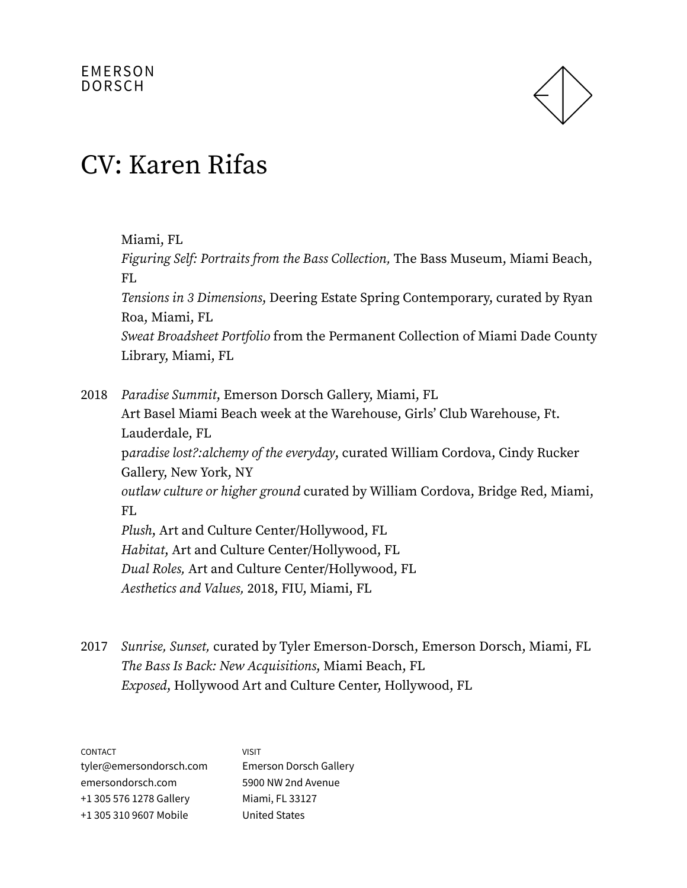

Miami, FL

Figuring Self: Portraits from the Bass Collection, The Bass Museum, Miami Beach, FL

Tensions in 3 Dimensions, Deering Estate Spring Contemporary, curated by Ryan Roa, Miami, FL

Sweat Broadsheet Portfolio from the Permanent Collection of Miami Dade County Library, Miami, FL

2018 Paradise Summit, Emerson Dorsch Gallery, Miami, FL Art Basel Miami Beach week at the Warehouse, Girls' Club Warehouse, Ft. Lauderdale, FL paradise lost?:alchemy of the everyday, curated William Cordova, Cindy Rucker Gallery, New York, NY outlaw culture or higher ground curated by William Cordova, Bridge Red, Miami, FL Plush, Art and Culture Center/Hollywood, FL Habitat, Art and Culture Center/Hollywood, FL Dual Roles, Art and Culture Center/Hollywood, FL Aesthetics and Values, 2018, FIU, Miami, FL

2017 Sunrise, Sunset, curated by Tyler Emerson-Dorsch, Emerson Dorsch, Miami, FL The Bass Is Back: New Acquisitions, Miami Beach, FL Exposed, Hollywood Art and Culture Center, Hollywood, FL

| <b>CONTACT</b>          | <b>VISIT</b>                  |
|-------------------------|-------------------------------|
| tyler@emersondorsch.com | <b>Emerson Dorsch Gallery</b> |
| emersondorsch.com       | 5900 NW 2nd Avenue            |
| +1 305 576 1278 Gallery | Miami, FL 33127               |
| +1 305 310 9607 Mobile  | <b>United States</b>          |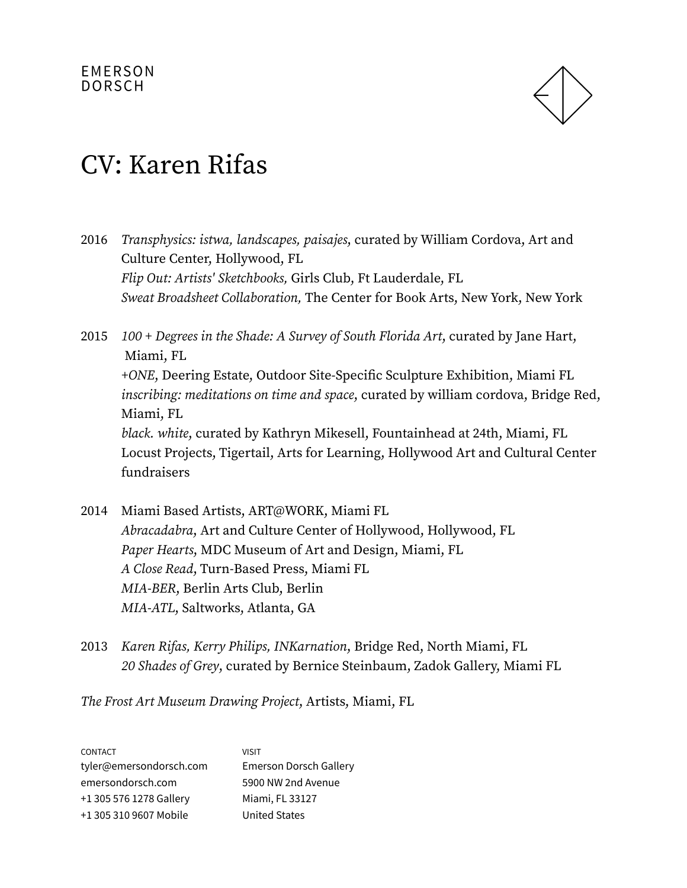

- 2016 Transphysics: istwa, landscapes, paisajes, curated by William Cordova, Art and Culture Center, Hollywood, FL Flip Out: Artists' Sketchbooks, Girls Club, Ft Lauderdale, FL Sweat Broadsheet Collaboration, The Center for Book Arts, New York, New York
- 2015 100 + Degrees in the Shade: A Survey of South Florida Art, curated by Jane Hart, Miami, FL +ONE, Deering Estate, Outdoor Site-Specific Sculpture Exhibition, Miami FL inscribing: meditations on time and space, curated by william cordova, Bridge Red, Miami, FL black. white, curated by Kathryn Mikesell, Fountainhead at 24th, Miami, FL Locust Projects, Tigertail, Arts for Learning, Hollywood Art and Cultural Center fundraisers
- 2014 Miami Based Artists, ART@WORK, Miami FL Abracadabra, Art and Culture Center of Hollywood, Hollywood, FL Paper Hearts, MDC Museum of Art and Design, Miami, FL A Close Read, Turn-Based Press, Miami FL MIA-BER, Berlin Arts Club, Berlin MIA-ATL, Saltworks, Atlanta, GA
- 2013 Karen Rifas, Kerry Philips, INKarnation, Bridge Red, North Miami, FL 20 Shades of Grey, curated by Bernice Steinbaum, Zadok Gallery, Miami FL

The Frost Art Museum Drawing Project, Artists, Miami, FL

| <b>CONTACT</b>          | VISIT                         |
|-------------------------|-------------------------------|
| tyler@emersondorsch.com | <b>Emerson Dorsch Gallery</b> |
| emersondorsch.com       | 5900 NW 2nd Avenue            |
| +1 305 576 1278 Gallery | Miami, FL 33127               |
| +1 305 310 9607 Mobile  | <b>United States</b>          |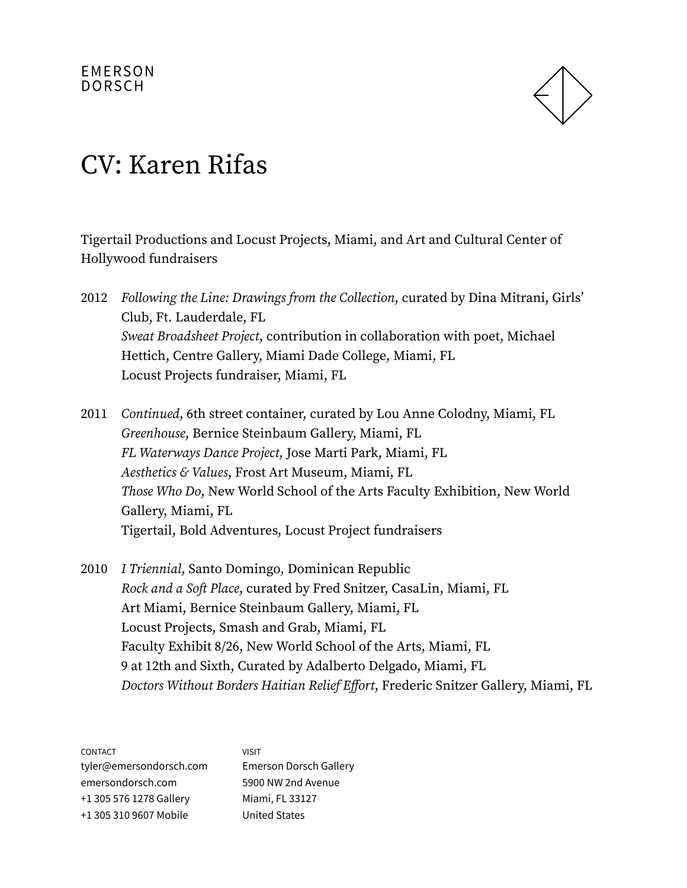

Tigertail Productions and Locust Projects, Miami, and Art and Cultural Center of Hollywood fundraisers

- 2012 Following the Line: Drawings from the Collection, curated by Dina Mitrani, Girls' Club, Ft. Lauderdale, FL Sweat Broadsheet Project, contribution in collaboration with poet, Michael Hettich, Centre Gallery, Miami Dade College, Miami, FL Locust Projects fundraiser, Miami, FL
- 2011 Continued, 6th street container, curated by Lou Anne Colodny, Miami, FL Greenhouse, Bernice Steinbaum Gallery, Miami, FL FL Waterways Dance Project, Jose Marti Park, Miami, FL Aesthetics & Values, Frost Art Museum, Miami, FL Those Who Do, New World School of the Arts Faculty Exhibition, New World Gallery, Miami, FL Tigertail, Bold Adventures, Locust Project fundraisers
- 2010 I Triennial, Santo Domingo, Dominican Republic Rock and a Soft Place, curated by Fred Snitzer, CasaLin, Miami, FL Art Miami, Bernice Steinbaum Gallery, Miami, FL Locust Projects, Smash and Grab, Miami, FL Faculty Exhibit 8/26, New World School of the Arts, Miami, FL 9 at 12th and Sixth, Curated by Adalberto Delgado, Miami, FL Doctors Without Borders Haitian Relief Effort, Frederic Snitzer Gallery, Miami, FL

| <b>CONTACT</b>          | VISIT                         |
|-------------------------|-------------------------------|
| tyler@emersondorsch.com | <b>Emerson Dorsch Gallery</b> |
| emersondorsch.com       | 5900 NW 2nd Avenue            |
| +1 305 576 1278 Gallery | Miami, FL 33127               |
| +1 305 310 9607 Mobile  | <b>United States</b>          |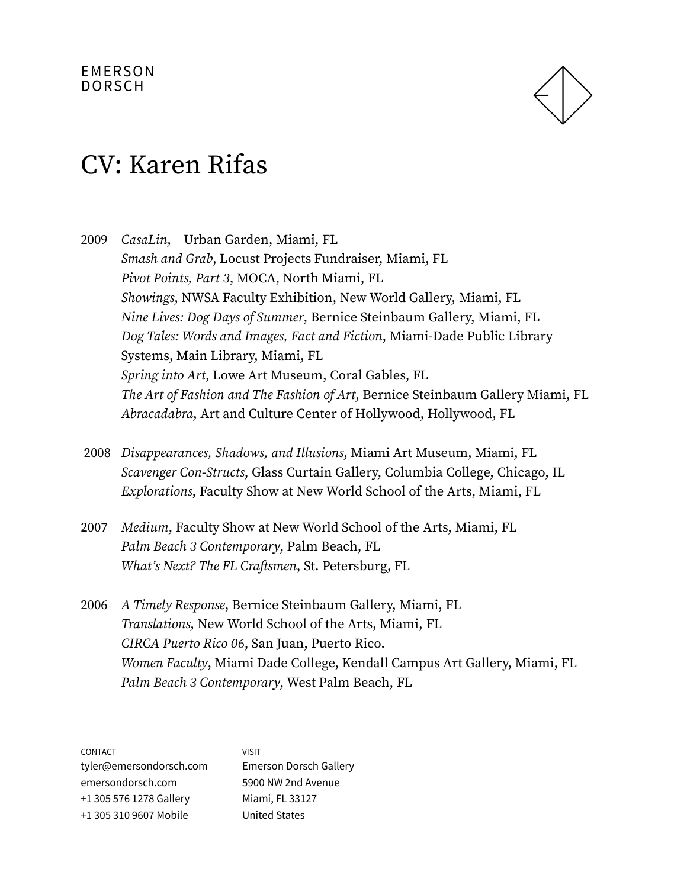

### CV: Karen Rifas

2009 CasaLin, Urban Garden, Miami, FL Smash and Grab, Locust Projects Fundraiser, Miami, FL Pivot Points, Part 3, MOCA, North Miami, FL Showings, NWSA Faculty Exhibition, New World Gallery, Miami, FL Nine Lives: Dog Days of Summer, Bernice Steinbaum Gallery, Miami, FL Dog Tales: Words and Images, Fact and Fiction, Miami-Dade Public Library Systems, Main Library, Miami, FL Spring into Art, Lowe Art Museum, Coral Gables, FL The Art of Fashion and The Fashion of Art, Bernice Steinbaum Gallery Miami, FL Abracadabra, Art and Culture Center of Hollywood, Hollywood, FL

- 2008 Disappearances, Shadows, and Illusions, Miami Art Museum, Miami, FL Scavenger Con-Structs, Glass Curtain Gallery, Columbia College, Chicago, IL Explorations, Faculty Show at New World School of the Arts, Miami, FL
- 2007 Medium, Faculty Show at New World School of the Arts, Miami, FL Palm Beach 3 Contemporary, Palm Beach, FL What's Next? The FL Craftsmen, St. Petersburg, FL
- 2006 A Timely Response, Bernice Steinbaum Gallery, Miami, FL Translations, New World School of the Arts, Miami, FL CIRCA Puerto Rico 06, San Juan, Puerto Rico. Women Faculty, Miami Dade College, Kendall Campus Art Gallery, Miami, FL Palm Beach 3 Contemporary, West Palm Beach, FL

| <b>CONTACT</b>          | VISIT                         |
|-------------------------|-------------------------------|
| tyler@emersondorsch.com | <b>Emerson Dorsch Gallery</b> |
| emersondorsch.com       | 5900 NW 2nd Avenue            |
| +1 305 576 1278 Gallery | Miami, FL 33127               |
| +1 305 310 9607 Mobile  | <b>United States</b>          |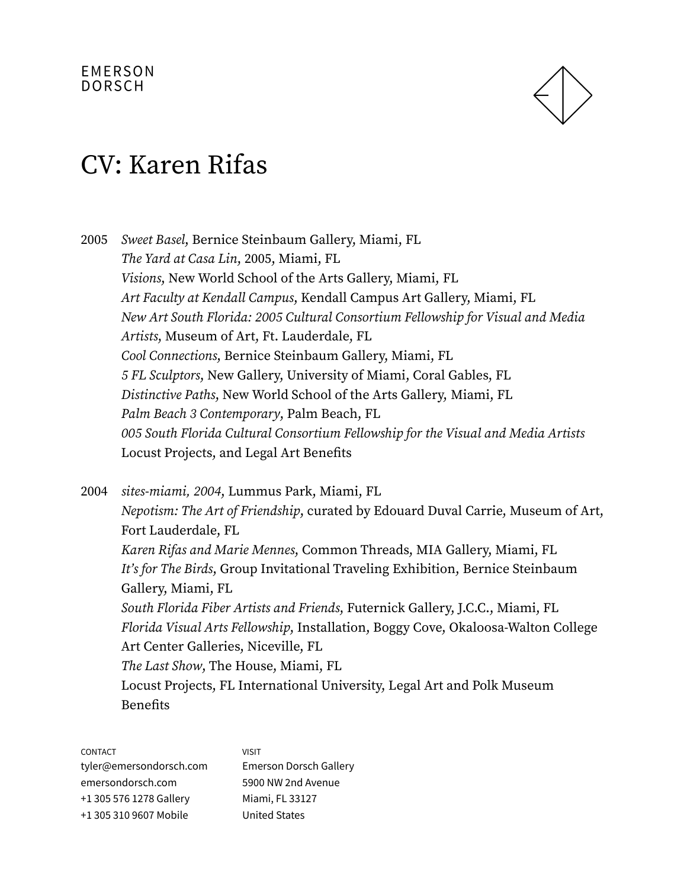

## CV: Karen Rifas

2005 Sweet Basel, Bernice Steinbaum Gallery, Miami, FL The Yard at Casa Lin, 2005, Miami, FL Visions, New World School of the Arts Gallery, Miami, FL Art Faculty at Kendall Campus, Kendall Campus Art Gallery, Miami, FL New Art South Florida: 2005 Cultural Consortium Fellowship for Visual and Media Artists, Museum of Art, Ft. Lauderdale, FL Cool Connections, Bernice Steinbaum Gallery, Miami, FL 5 FL Sculptors, New Gallery, University of Miami, Coral Gables, FL Distinctive Paths, New World School of the Arts Gallery, Miami, FL Palm Beach 3 Contemporary, Palm Beach, FL 005 South Florida Cultural Consortium Fellowship for the Visual and Media Artists Locust Projects, and Legal Art Benefits

2004 sites-miami, 2004, Lummus Park, Miami, FL Nepotism: The Art of Friendship, curated by Edouard Duval Carrie, Museum of Art, Fort Lauderdale, FL Karen Rifas and Marie Mennes, Common Threads, MIA Gallery, Miami, FL It's for The Birds, Group Invitational Traveling Exhibition, Bernice Steinbaum Gallery, Miami, FL South Florida Fiber Artists and Friends, Futernick Gallery, J.C.C., Miami, FL Florida Visual Arts Fellowship, Installation, Boggy Cove, Okaloosa-Walton College Art Center Galleries, Niceville, FL The Last Show, The House, Miami, FL Locust Projects, FL International University, Legal Art and Polk Museum Benefits

CONTACT

| <b>CUNIACI</b>          | <b>VI. 31 L</b>        |
|-------------------------|------------------------|
| tyler@emersondorsch.com | Emerson Dorsch Gallery |
| emersondorsch.com       | 5900 NW 2nd Avenue     |
| +1 305 576 1278 Gallery | Miami, FL 33127        |
| +1 305 310 9607 Mobile  | <b>United States</b>   |

 $VICIT$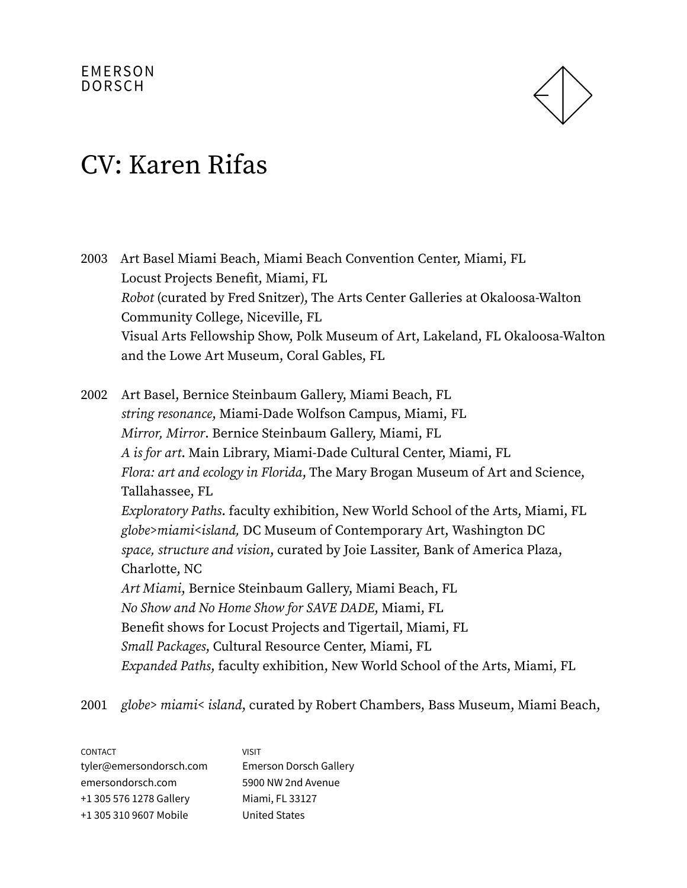

2003 Art Basel Miami Beach, Miami Beach Convention Center, Miami, FL Locust Projects Benefit, Miami, FL Robot (curated by Fred Snitzer), The Arts Center Galleries at Okaloosa-Walton Community College, Niceville, FL Visual Arts Fellowship Show, Polk Museum of Art, Lakeland, FL Okaloosa-Walton and the Lowe Art Museum, Coral Gables, FL

2002 Art Basel, Bernice Steinbaum Gallery, Miami Beach, FL string resonance, Miami-Dade Wolfson Campus, Miami, FL Mirror, Mirror. Bernice Steinbaum Gallery, Miami, FL A is for art. Main Library, Miami-Dade Cultural Center, Miami, FL Flora: art and ecology in Florida, The Mary Brogan Museum of Art and Science, Tallahassee, FL Exploratory Paths. faculty exhibition, New World School of the Arts, Miami, FL globe>miami<island, DC Museum of Contemporary Art, Washington DC space, structure and vision, curated by Joie Lassiter, Bank of America Plaza, Charlotte, NC Art Miami, Bernice Steinbaum Gallery, Miami Beach, FL No Show and No Home Show for SAVE DADE, Miami, FL Benefit shows for Locust Projects and Tigertail, Miami, FL Small Packages, Cultural Resource Center, Miami, FL Expanded Paths, faculty exhibition, New World School of the Arts, Miami, FL

2001 globe> miami< island, curated by Robert Chambers, Bass Museum, Miami Beach,

| <b>CONTACT</b>          | <b>VISIT</b>                  |
|-------------------------|-------------------------------|
| tyler@emersondorsch.com | <b>Emerson Dorsch Gallery</b> |
| emersondorsch.com       | 5900 NW 2nd Avenue            |
| +1 305 576 1278 Gallery | Miami, FL 33127               |
| +1 305 310 9607 Mobile  | <b>United States</b>          |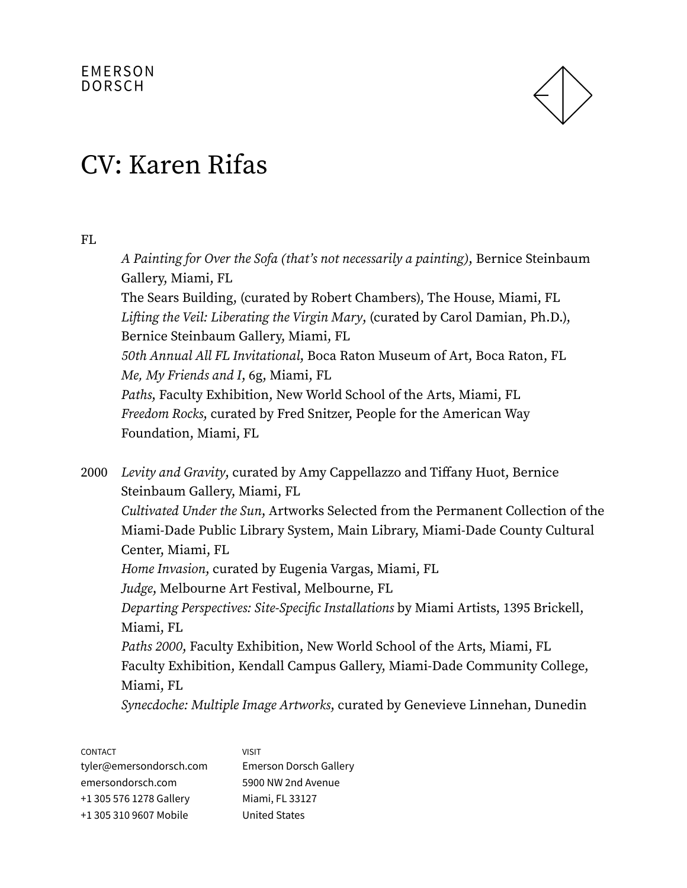

### CV: Karen Rifas

FL

A Painting for Over the Sofa (that's not necessarily a painting), Bernice Steinbaum Gallery, Miami, FL The Sears Building, (curated by Robert Chambers), The House, Miami, FL Lifting the Veil: Liberating the Virgin Mary, (curated by Carol Damian, Ph.D.), Bernice Steinbaum Gallery, Miami, FL 50th Annual All FL Invitational, Boca Raton Museum of Art, Boca Raton, FL Me, My Friends and I, 6g, Miami, FL Paths, Faculty Exhibition, New World School of the Arts, Miami, FL Freedom Rocks, curated by Fred Snitzer, People for the American Way Foundation, Miami, FL 2000 Levity and Gravity, curated by Amy Cappellazzo and Tiffany Huot, Bernice Steinbaum Gallery, Miami, FL Cultivated Under the Sun, Artworks Selected from the Permanent Collection of the Miami-Dade Public Library System, Main Library, Miami-Dade County Cultural Center, Miami, FL Home Invasion, curated by Eugenia Vargas, Miami, FL Judge, Melbourne Art Festival, Melbourne, FL Departing Perspectives: Site-Specific Installations by Miami Artists, 1395 Brickell, Miami, FL Paths 2000, Faculty Exhibition, New World School of the Arts, Miami, FL Faculty Exhibition, Kendall Campus Gallery, Miami-Dade Community College, Miami, FL Synecdoche: Multiple Image Artworks, curated by Genevieve Linnehan, Dunedin

CONTACT tyler@emersondorsch.com emersondorsch.com +1 305 576 1278 Gallery +1 305 310 9607 Mobile VISIT Emerson Dorsch Gallery 5900 NW 2nd Avenue Miami, FL 33127 United States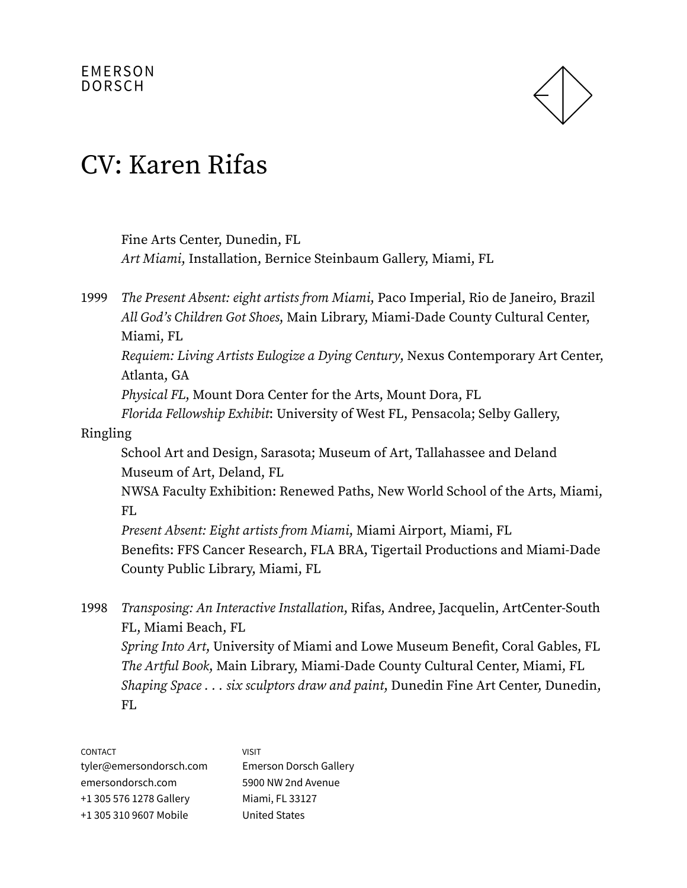

Fine Arts Center, Dunedin, FL Art Miami, Installation, Bernice Steinbaum Gallery, Miami, FL 1999 The Present Absent: eight artists from Miami, Paco Imperial, Rio de Janeiro, Brazil All God's Children Got Shoes, Main Library, Miami-Dade County Cultural Center, Miami, FL Requiem: Living Artists Eulogize a Dying Century, Nexus Contemporary Art Center, Atlanta, GA Physical FL, Mount Dora Center for the Arts, Mount Dora, FL Florida Fellowship Exhibit: University of West FL, Pensacola; Selby Gallery, Ringling School Art and Design, Sarasota; Museum of Art, Tallahassee and Deland Museum of Art, Deland, FL NWSA Faculty Exhibition: Renewed Paths, New World School of the Arts, Miami, FL Present Absent: Eight artists from Miami, Miami Airport, Miami, FL Benefits: FFS Cancer Research, FLA BRA, Tigertail Productions and Miami-Dade County Public Library, Miami, FL 1998 Transposing: An Interactive Installation, Rifas, Andree, Jacquelin, ArtCenter-South FL, Miami Beach, FL Spring Into Art, University of Miami and Lowe Museum Benefit, Coral Gables, FL

The Artful Book, Main Library, Miami-Dade County Cultural Center, Miami, FL Shaping Space . . . six sculptors draw and paint, Dunedin Fine Art Center, Dunedin, FL

| <b>CONTACT</b>          | <b>VISIT</b>                  |
|-------------------------|-------------------------------|
| tyler@emersondorsch.com | <b>Emerson Dorsch Gallery</b> |
| emersondorsch.com       | 5900 NW 2nd Avenue            |
| +1 305 576 1278 Gallery | Miami, FL 33127               |
| +1 305 310 9607 Mobile  | <b>United States</b>          |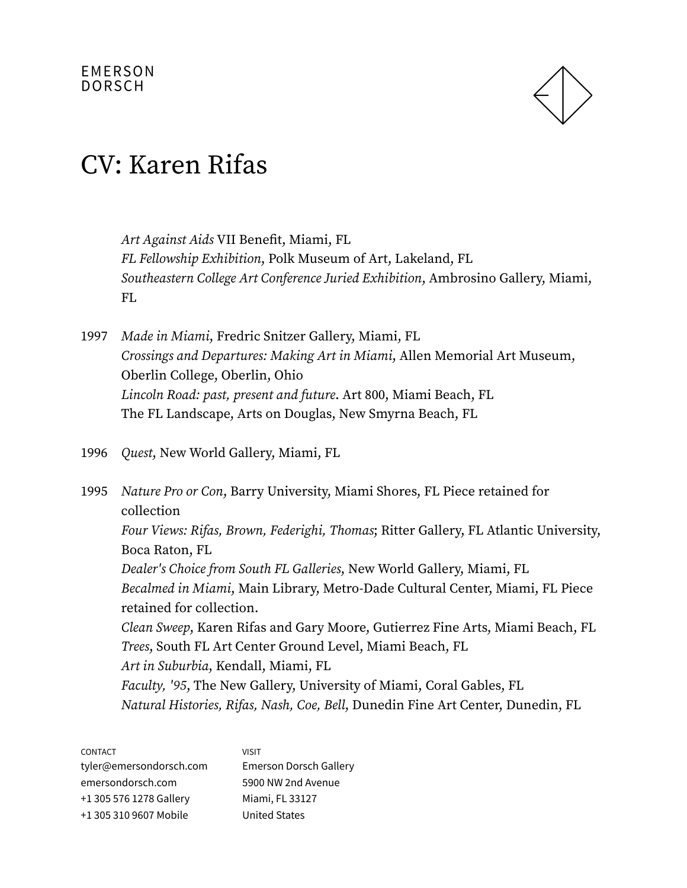

Art Against Aids VII Benefit, Miami, FL FL Fellowship Exhibition, Polk Museum of Art, Lakeland, FL Southeastern College Art Conference Juried Exhibition, Ambrosino Gallery, Miami, FL

- 1997 Made in Miami, Fredric Snitzer Gallery, Miami, FL Crossings and Departures: Making Art in Miami, Allen Memorial Art Museum, Oberlin College, Oberlin, Ohio Lincoln Road: past, present and future. Art 800, Miami Beach, FL The FL Landscape, Arts on Douglas, New Smyrna Beach, FL
- 1996 Quest, New World Gallery, Miami, FL

1995 Nature Pro or Con, Barry University, Miami Shores, FL Piece retained for collection Four Views: Rifas, Brown, Federighi, Thomas; Ritter Gallery, FL Atlantic University, Boca Raton, FL Dealer's Choice from South FL Galleries, New World Gallery, Miami, FL Becalmed in Miami, Main Library, Metro-Dade Cultural Center, Miami, FL Piece retained for collection. Clean Sweep, Karen Rifas and Gary Moore, Gutierrez Fine Arts, Miami Beach, FL Trees, South FL Art Center Ground Level, Miami Beach, FL Art in Suburbia, Kendall, Miami, FL Faculty, '95, The New Gallery, University of Miami, Coral Gables, FL Natural Histories, Rifas, Nash, Coe, Bell, Dunedin Fine Art Center, Dunedin, FL

CONTACT tyler@emersondorsch.com emersondorsch.com +1 305 576 1278 Gallery +1 305 310 9607 Mobile VISIT Emerson Dorsch Gallery 5900 NW 2nd Avenue Miami, FL 33127 United States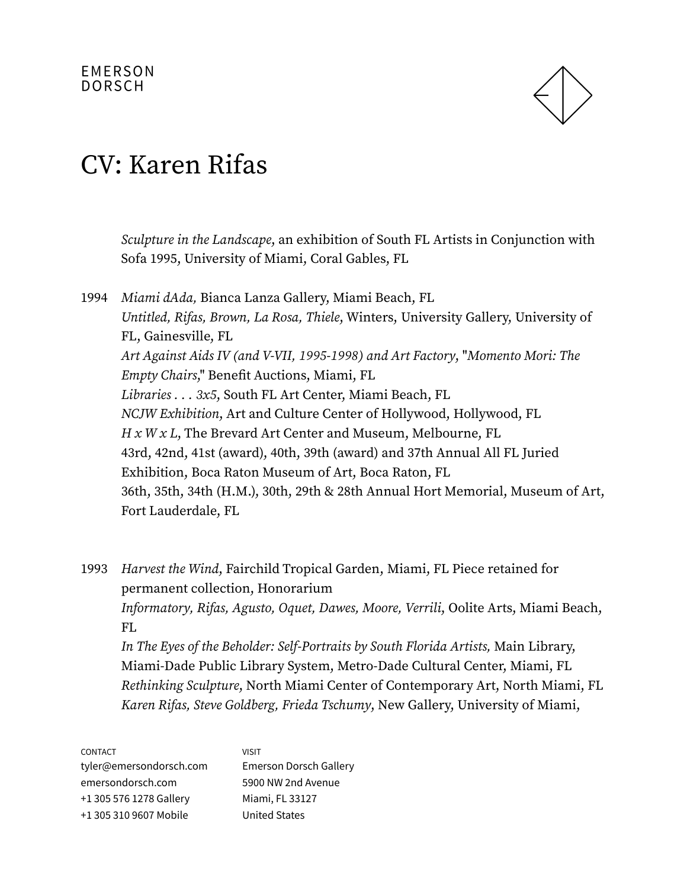

### CV: Karen Rifas

Sculpture in the Landscape, an exhibition of South FL Artists in Conjunction with Sofa 1995, University of Miami, Coral Gables, FL

1994 Miami dAda, Bianca Lanza Gallery, Miami Beach, FL Untitled, Rifas, Brown, La Rosa, Thiele, Winters, University Gallery, University of FL, Gainesville, FL Art Against Aids IV (and V-VII, 1995-1998) and Art Factory, "Momento Mori: The Empty Chairs," Benefit Auctions, Miami, FL Libraries . . . 3x5, South FL Art Center, Miami Beach, FL NCJW Exhibition, Art and Culture Center of Hollywood, Hollywood, FL  $H x W x L$ , The Brevard Art Center and Museum, Melbourne, FL 43rd, 42nd, 41st (award), 40th, 39th (award) and 37th Annual All FL Juried Exhibition, Boca Raton Museum of Art, Boca Raton, FL 36th, 35th, 34th (H.M.), 30th, 29th & 28th Annual Hort Memorial, Museum of Art, Fort Lauderdale, FL

1993 Harvest the Wind, Fairchild Tropical Garden, Miami, FL Piece retained for permanent collection, Honorarium Informatory, Rifas, Agusto, Oquet, Dawes, Moore, Verrili, Oolite Arts, Miami Beach, FL

In The Eyes of the Beholder: Self-Portraits by South Florida Artists, Main Library, Miami-Dade Public Library System, Metro-Dade Cultural Center, Miami, FL Rethinking Sculpture, North Miami Center of Contemporary Art, North Miami, FL Karen Rifas, Steve Goldberg, Frieda Tschumy, New Gallery, University of Miami,

| <b>CONTACT</b>          | <b>VISIT</b>                  |
|-------------------------|-------------------------------|
| tyler@emersondorsch.com | <b>Emerson Dorsch Gallery</b> |
| emersondorsch.com       | 5900 NW 2nd Avenue            |
| +1 305 576 1278 Gallery | Miami, FL 33127               |
| +1 305 310 9607 Mobile  | <b>United States</b>          |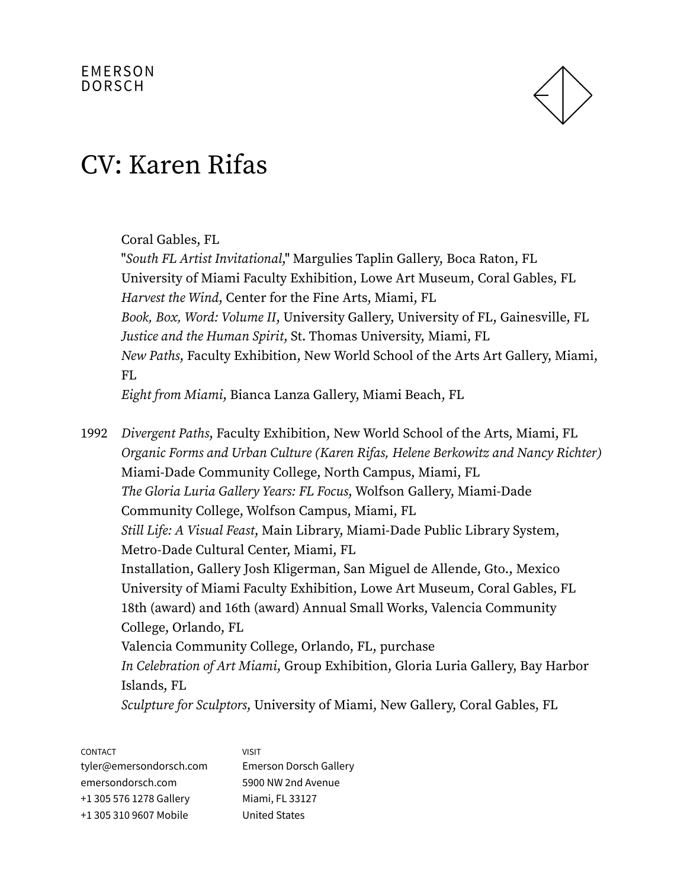

### CV: Karen Rifas

#### Coral Gables, FL

"South FL Artist Invitational," Margulies Taplin Gallery, Boca Raton, FL University of Miami Faculty Exhibition, Lowe Art Museum, Coral Gables, FL Harvest the Wind, Center for the Fine Arts, Miami, FL Book, Box, Word: Volume II, University Gallery, University of FL, Gainesville, FL Justice and the Human Spirit, St. Thomas University, Miami, FL New Paths, Faculty Exhibition, New World School of the Arts Art Gallery, Miami, FL

Eight from Miami, Bianca Lanza Gallery, Miami Beach, FL

1992 Divergent Paths, Faculty Exhibition, New World School of the Arts, Miami, FL Organic Forms and Urban Culture (Karen Rifas, Helene Berkowitz and Nancy Richter) Miami-Dade Community College, North Campus, Miami, FL The Gloria Luria Gallery Years: FL Focus, Wolfson Gallery, Miami-Dade Community College, Wolfson Campus, Miami, FL Still Life: A Visual Feast, Main Library, Miami-Dade Public Library System, Metro-Dade Cultural Center, Miami, FL Installation, Gallery Josh Kligerman, San Miguel de Allende, Gto., Mexico University of Miami Faculty Exhibition, Lowe Art Museum, Coral Gables, FL 18th (award) and 16th (award) Annual Small Works, Valencia Community College, Orlando, FL Valencia Community College, Orlando, FL, purchase In Celebration of Art Miami, Group Exhibition, Gloria Luria Gallery, Bay Harbor Islands, FL Sculpture for Sculptors, University of Miami, New Gallery, Coral Gables, FL

CONTACT tyler@emersondorsch.com emersondorsch.com +1 305 576 1278 Gallery +1 305 310 9607 Mobile VISIT Emerson Dorsch Gallery 5900 NW 2nd Avenue Miami, FL 33127 United States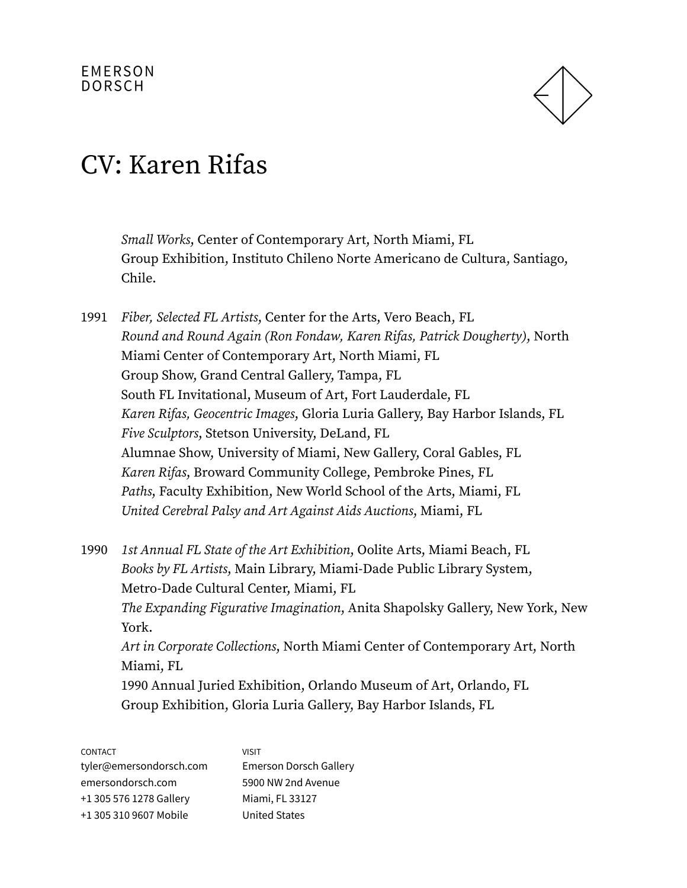

Small Works, Center of Contemporary Art, North Miami, FL Group Exhibition, Instituto Chileno Norte Americano de Cultura, Santiago, Chile.

- 1991 Fiber, Selected FL Artists, Center for the Arts, Vero Beach, FL Round and Round Again (Ron Fondaw, Karen Rifas, Patrick Dougherty), North Miami Center of Contemporary Art, North Miami, FL Group Show, Grand Central Gallery, Tampa, FL South FL Invitational, Museum of Art, Fort Lauderdale, FL Karen Rifas, Geocentric Images, Gloria Luria Gallery, Bay Harbor Islands, FL Five Sculptors, Stetson University, DeLand, FL Alumnae Show, University of Miami, New Gallery, Coral Gables, FL Karen Rifas, Broward Community College, Pembroke Pines, FL Paths, Faculty Exhibition, New World School of the Arts, Miami, FL United Cerebral Palsy and Art Against Aids Auctions, Miami, FL
- 1990 1st Annual FL State of the Art Exhibition, Oolite Arts, Miami Beach, FL Books by FL Artists, Main Library, Miami-Dade Public Library System, Metro-Dade Cultural Center, Miami, FL The Expanding Figurative Imagination, Anita Shapolsky Gallery, New York, New York. Art in Corporate Collections, North Miami Center of Contemporary Art, North Miami, FL 1990 Annual Juried Exhibition, Orlando Museum of Art, Orlando, FL Group Exhibition, Gloria Luria Gallery, Bay Harbor Islands, FL

| <b>CONTACT</b>          | <b>VISIT</b>                  |
|-------------------------|-------------------------------|
| tyler@emersondorsch.com | <b>Emerson Dorsch Gallery</b> |
| emersondorsch.com       | 5900 NW 2nd Avenue            |
| +1 305 576 1278 Gallery | Miami, FL 33127               |
| +1 305 310 9607 Mobile  | <b>United States</b>          |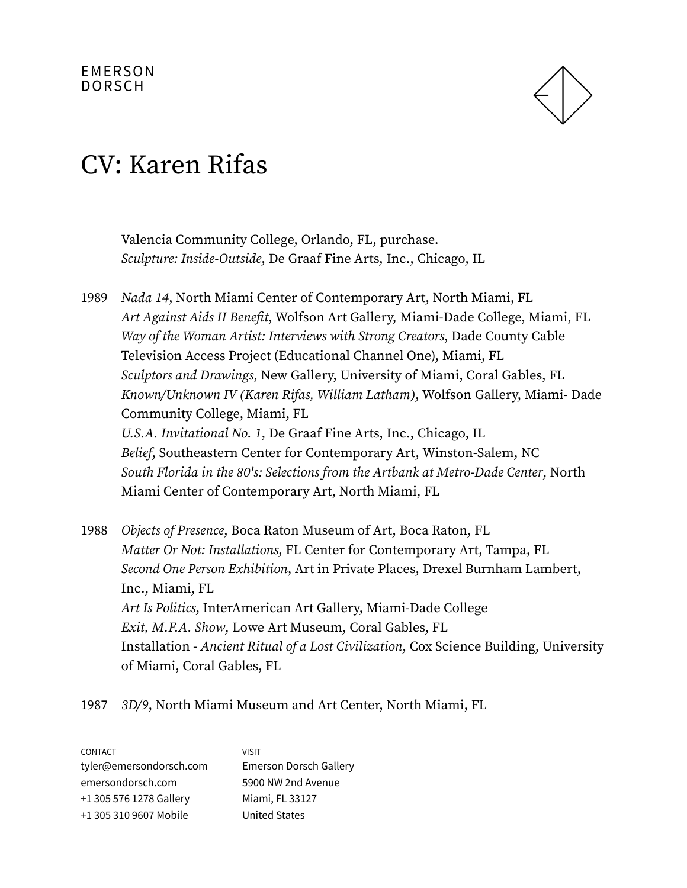

### CV: Karen Rifas

Valencia Community College, Orlando, FL, purchase. Sculpture: Inside-Outside, De Graaf Fine Arts, Inc., Chicago, IL

1989 Nada 14, North Miami Center of Contemporary Art, North Miami, FL Art Against Aids II Benefit, Wolfson Art Gallery, Miami-Dade College, Miami, FL Way of the Woman Artist: Interviews with Strong Creators, Dade County Cable Television Access Project (Educational Channel One), Miami, FL Sculptors and Drawings, New Gallery, University of Miami, Coral Gables, FL Known/Unknown IV (Karen Rifas, William Latham), Wolfson Gallery, Miami- Dade Community College, Miami, FL U.S.A. Invitational No. 1, De Graaf Fine Arts, Inc., Chicago, IL Belief, Southeastern Center for Contemporary Art, Winston-Salem, NC South Florida in the 80's: Selections from the Artbank at Metro-Dade Center, North Miami Center of Contemporary Art, North Miami, FL

1988 Objects of Presence, Boca Raton Museum of Art, Boca Raton, FL Matter Or Not: Installations, FL Center for Contemporary Art, Tampa, FL Second One Person Exhibition, Art in Private Places, Drexel Burnham Lambert, Inc., Miami, FL Art Is Politics, InterAmerican Art Gallery, Miami-Dade College Exit, M.F.A. Show, Lowe Art Museum, Coral Gables, FL Installation - Ancient Ritual of a Lost Civilization, Cox Science Building, University of Miami, Coral Gables, FL

1987 3D/9, North Miami Museum and Art Center, North Miami, FL

| CONTACT                 | <b>VISIT</b>                  |
|-------------------------|-------------------------------|
| tyler@emersondorsch.com | <b>Emerson Dorsch Gallery</b> |
| emersondorsch.com       | 5900 NW 2nd Avenue            |
| +1 305 576 1278 Gallery | Miami, FL 33127               |
| +1 305 310 9607 Mobile  | <b>United States</b>          |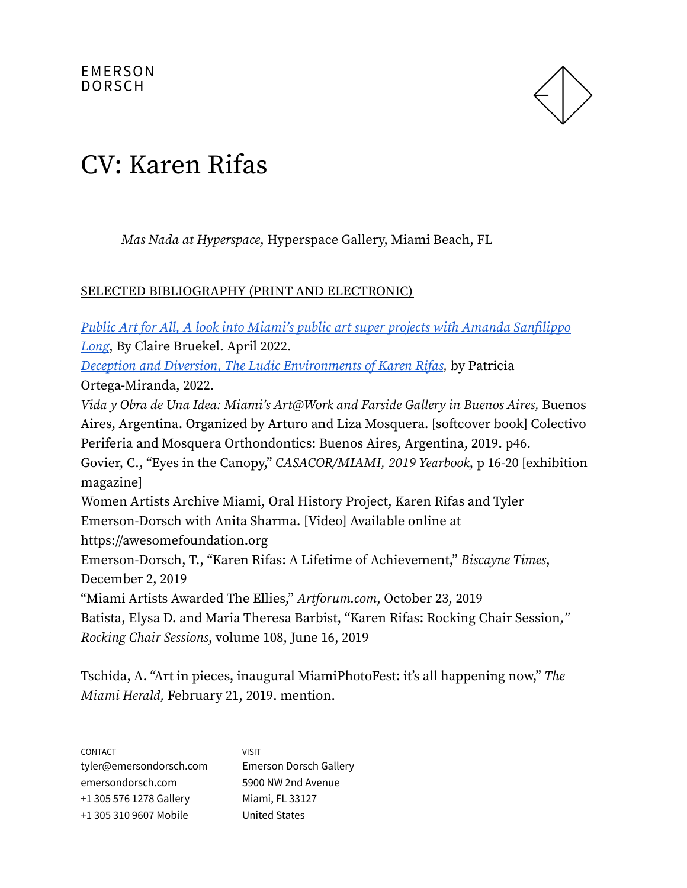

# CV: Karen Rifas

Mas Nada at Hyperspace, Hyperspace Gallery, Miami Beach, FL

#### SELECTED BIBLIOGRAPHY (PRINT AND ELECTRONIC)

Public Art for All, A look into Miami's public art super projects with Amanda [Sanfilippo](https://digital.modernluxury.com/publication/?m=3623&i=741630&p=52&ver=html5) [Long](https://digital.modernluxury.com/publication/?m=3623&i=741630&p=52&ver=html5), By Claire Bruekel. April 2022. Deception and Diversion, The Ludic [Environments](https://thebass.org/wp-content/uploads/2020/09/KarenRifasDigitalBrochure.pdf) of Karen Rifas, by Patricia Ortega-Miranda, 2022. Vida y Obra de Una Idea: Miami's Art@Work and Farside Gallery in Buenos Aires, Buenos Aires, Argentina. Organized by Arturo and Liza Mosquera. [softcover book] Colectivo Periferia and Mosquera Orthondontics: Buenos Aires, Argentina, 2019. p46. Govier, C., "Eyes in the Canopy," CASACOR/MIAMI, 2019 Yearbook, p 16-20 [exhibition magazine] Women Artists Archive Miami, Oral History Project, Karen Rifas and Tyler Emerson-Dorsch with Anita Sharma. [Video] Available online at https://awesomefoundation.org Emerson-Dorsch, T., "Karen Rifas: A Lifetime of Achievement," Biscayne Times, December 2, 2019 "Miami Artists Awarded The Ellies," Artforum.com, October 23, 2019 Batista, Elysa D. and Maria Theresa Barbist, "Karen Rifas: Rocking Chair Session," Rocking Chair Sessions, volume 108, June 16, 2019

Tschida, A. "Art in pieces, inaugural MiamiPhotoFest: it's all happening now," The Miami Herald, February 21, 2019. mention.

| <b>CONTACT</b>          | <b>VISIT</b>                  |
|-------------------------|-------------------------------|
| tyler@emersondorsch.com | <b>Emerson Dorsch Gallery</b> |
| emersondorsch.com       | 5900 NW 2nd Avenue            |
| +1 305 576 1278 Gallery | Miami, FL 33127               |
| +1 305 310 9607 Mobile  | <b>United States</b>          |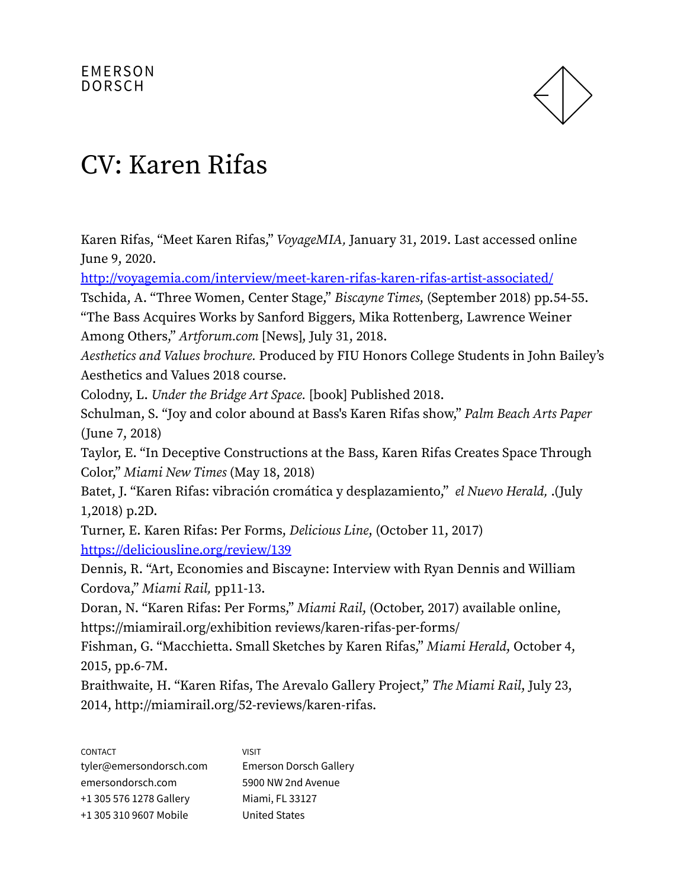

Karen Rifas, "Meet Karen Rifas," VoyageMIA, January 31, 2019. Last accessed online June 9, 2020. <http://voyagemia.com/interview/meet-karen-rifas-karen-rifas-artist-associated/> Tschida, A. "Three Women, Center Stage," Biscayne Times, (September 2018) pp.54-55. "The Bass Acquires Works by Sanford Biggers, Mika Rottenberg, Lawrence Weiner Among Others," Artforum.com [News], July 31, 2018. Aesthetics and Values brochure. Produced by FIU Honors College Students in John Bailey's Aesthetics and Values 2018 course. Colodny, L. Under the Bridge Art Space. [book] Published 2018. Schulman, S. "Joy and color abound at Bass's Karen Rifas show," Palm Beach Arts Paper (June 7, 2018) Taylor, E. "In Deceptive Constructions at the Bass, Karen Rifas Creates Space Through Color," Miami New Times (May 18, 2018) Batet, J. "Karen Rifas: vibración cromática y desplazamiento," el Nuevo Herald, .(July 1,2018) p.2D. Turner, E. Karen Rifas: Per Forms, Delicious Line, (October 11, 2017) <https://deliciousline.org/review/139> Dennis, R. "Art, Economies and Biscayne: Interview with Ryan Dennis and William Cordova," Miami Rail, pp11-13. Doran, N. "Karen Rifas: Per Forms," Miami Rail, (October, 2017) available online, https://miamirail.org/exhibition reviews/karen-rifas-per-forms/ Fishman, G. "Macchietta. Small Sketches by Karen Rifas," Miami Herald, October 4, 2015, pp.6-7M. Braithwaite, H. "Karen Rifas, The Arevalo Gallery Project," The Miami Rail, July 23, 2014, http://miamirail.org/52-reviews/karen-rifas. CONTACT tyler@emersondorsch.com VISIT Emerson Dorsch Gallery

| tyler@emersondorsch.com | Emerson Dorsch Gallery |
|-------------------------|------------------------|
| emersondorsch.com       | 5900 NW 2nd Avenue     |
| +1 305 576 1278 Gallery | Miami, FL 33127        |
| +1 305 310 9607 Mobile  | <b>United States</b>   |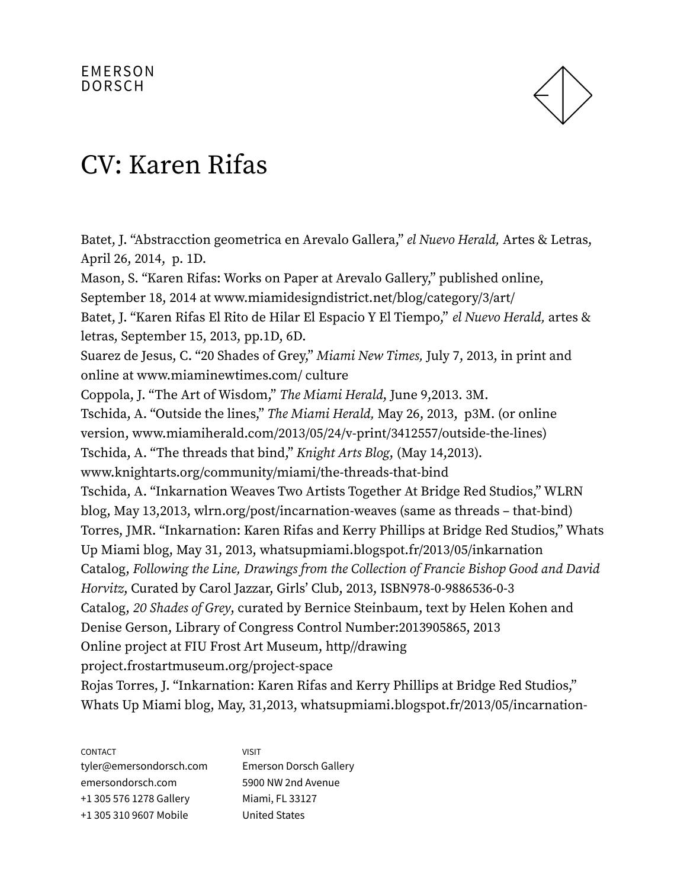

Batet, J. "Abstracction geometrica en Arevalo Gallera," el Nuevo Herald, Artes & Letras, April 26, 2014, p. 1D. Mason, S. "Karen Rifas: Works on Paper at Arevalo Gallery," published online, September 18, 2014 at www.miamidesigndistrict.net/blog/category/3/art/ Batet, J. "Karen Rifas El Rito de Hilar El Espacio Y El Tiempo," el Nuevo Herald, artes & letras, September 15, 2013, pp.1D, 6D. Suarez de Jesus, C. "20 Shades of Grey," Miami New Times, July 7, 2013, in print and online at www.miaminewtimes.com/ culture Coppola, J. "The Art of Wisdom," The Miami Herald, June 9,2013. 3M. Tschida, A. "Outside the lines," The Miami Herald, May 26, 2013, p3M. (or online version, www.miamiherald.com/2013/05/24/v-print/3412557/outside-the-lines) Tschida, A. "The threads that bind," Knight Arts Blog, (May 14,2013). www.knightarts.org/community/miami/the-threads-that-bind Tschida, A. "Inkarnation Weaves Two Artists Together At Bridge Red Studios," WLRN blog, May 13,2013, wlrn.org/post/incarnation-weaves (same as threads – that-bind) Torres, JMR. "Inkarnation: Karen Rifas and Kerry Phillips at Bridge Red Studios," Whats Up Miami blog, May 31, 2013, whatsupmiami.blogspot.fr/2013/05/inkarnation Catalog, Following the Line, Drawings from the Collection of Francie Bishop Good and David Horvitz, Curated by Carol Jazzar, Girls' Club, 2013, ISBN978-0-9886536-0-3 Catalog, 20 Shades of Grey, curated by Bernice Steinbaum, text by Helen Kohen and Denise Gerson, Library of Congress Control Number:2013905865, 2013 Online project at FIU Frost Art Museum, http//drawing project.frostartmuseum.org/project-space Rojas Torres, J. "Inkarnation: Karen Rifas and Kerry Phillips at Bridge Red Studios," Whats Up Miami blog, May, 31,2013, whatsupmiami.blogspot.fr/2013/05/incarnation-

| <b>CONTACT</b>          | <b>VISIT</b>                  |
|-------------------------|-------------------------------|
| tyler@emersondorsch.com | <b>Emerson Dorsch Gallery</b> |
| emersondorsch.com       | 5900 NW 2nd Avenue            |
| +1 305 576 1278 Gallery | Miami, FL 33127               |
| +1 305 310 9607 Mobile  | <b>United States</b>          |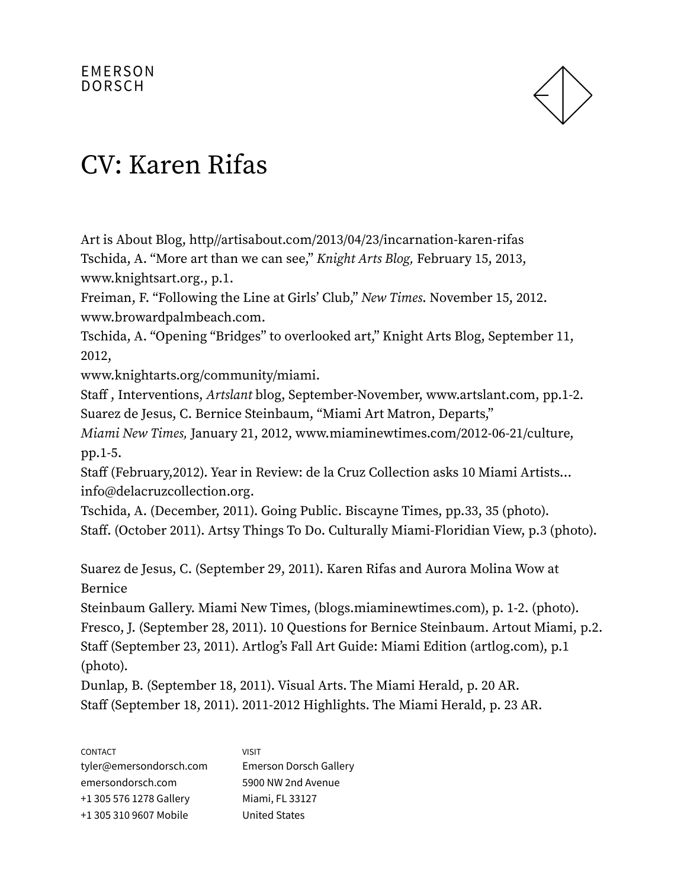

Art is About Blog, http//artisabout.com/2013/04/23/incarnation-karen-rifas Tschida, A. "More art than we can see," Knight Arts Blog, February 15, 2013, www.knightsart.org., p.1.

Freiman, F. "Following the Line at Girls' Club," New Times. November 15, 2012. www.browardpalmbeach.com.

Tschida, A. "Opening "Bridges" to overlooked art," Knight Arts Blog, September 11, 2012,

www.knightarts.org/community/miami.

Staff , Interventions, Artslant blog, September-November, www.artslant.com, pp.1-2. Suarez de Jesus, C. Bernice Steinbaum, "Miami Art Matron, Departs,"

Miami New Times, January 21, 2012, www.miaminewtimes.com/2012-06-21/culture, pp.1-5.

Staff (February,2012). Year in Review: de la Cruz Collection asks 10 Miami Artists… info@delacruzcollection.org.

Tschida, A. (December, 2011). Going Public. Biscayne Times, pp.33, 35 (photo). Staff. (October 2011). Artsy Things To Do. Culturally Miami-Floridian View, p.3 (photo).

Suarez de Jesus, C. (September 29, 2011). Karen Rifas and Aurora Molina Wow at Bernice

Steinbaum Gallery. Miami New Times, (blogs.miaminewtimes.com), p. 1-2. (photo). Fresco, J. (September 28, 2011). 10 Questions for Bernice Steinbaum. Artout Miami, p.2. Staff (September 23, 2011). Artlog's Fall Art Guide: Miami Edition (artlog.com), p.1 (photo).

Dunlap, B. (September 18, 2011). Visual Arts. The Miami Herald, p. 20 AR. Staff (September 18, 2011). 2011-2012 Highlights. The Miami Herald, p. 23 AR.

| <b>CONTACT</b>          | VISIT                         |
|-------------------------|-------------------------------|
| tyler@emersondorsch.com | <b>Emerson Dorsch Gallery</b> |
| emersondorsch.com       | 5900 NW 2nd Avenue            |
| +1 305 576 1278 Gallery | Miami, FL 33127               |
| +1 305 310 9607 Mobile  | <b>United States</b>          |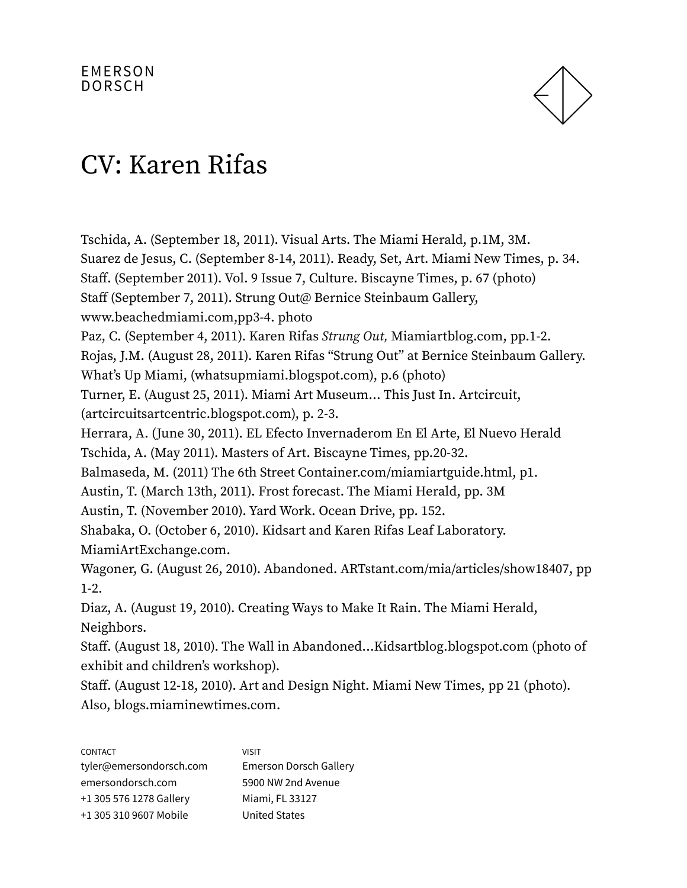

Tschida, A. (September 18, 2011). Visual Arts. The Miami Herald, p.1M, 3M. Suarez de Jesus, C. (September 8-14, 2011). Ready, Set, Art. Miami New Times, p. 34. Staff. (September 2011). Vol. 9 Issue 7, Culture. Biscayne Times, p. 67 (photo) Staff (September 7, 2011). Strung Out@ Bernice Steinbaum Gallery, www.beachedmiami.com,pp3-4. photo Paz, C. (September 4, 2011). Karen Rifas Strung Out, Miamiartblog.com, pp.1-2. Rojas, J.M. (August 28, 2011). Karen Rifas "Strung Out" at Bernice Steinbaum Gallery. What's Up Miami, (whatsupmiami.blogspot.com), p.6 (photo) Turner, E. (August 25, 2011). Miami Art Museum… This Just In. Artcircuit, (artcircuitsartcentric.blogspot.com), p. 2-3. Herrara, A. (June 30, 2011). EL Efecto Invernaderom En El Arte, El Nuevo Herald Tschida, A. (May 2011). Masters of Art. Biscayne Times, pp.20-32. Balmaseda, M. (2011) The 6th Street Container.com/miamiartguide.html, p1. Austin, T. (March 13th, 2011). Frost forecast. The Miami Herald, pp. 3M Austin, T. (November 2010). Yard Work. Ocean Drive, pp. 152. Shabaka, O. (October 6, 2010). Kidsart and Karen Rifas Leaf Laboratory. MiamiArtExchange.com. Wagoner, G. (August 26, 2010). Abandoned. ARTstant.com/mia/articles/show18407, pp 1-2. Diaz, A. (August 19, 2010). Creating Ways to Make It Rain. The Miami Herald, Neighbors. Staff. (August 18, 2010). The Wall in Abandoned…Kidsartblog.blogspot.com (photo of exhibit and children's workshop).

Staff. (August 12-18, 2010). Art and Design Night. Miami New Times, pp 21 (photo). Also, blogs.miaminewtimes.com.

| <b>CONTACT</b>          | <b>VISIT</b>                  |
|-------------------------|-------------------------------|
| tyler@emersondorsch.com | <b>Emerson Dorsch Gallery</b> |
| emersondorsch.com       | 5900 NW 2nd Avenue            |
| +1 305 576 1278 Gallery | Miami, FL 33127               |
| +1 305 310 9607 Mobile  | <b>United States</b>          |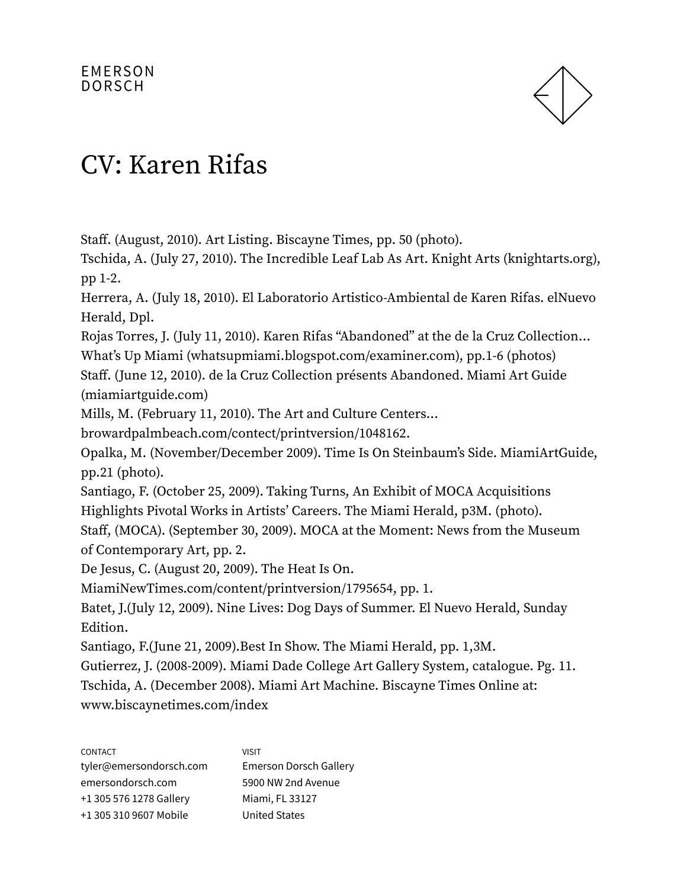

Staff. (August, 2010). Art Listing. Biscayne Times, pp. 50 (photo).

Tschida, A. (July 27, 2010). The Incredible Leaf Lab As Art. Knight Arts (knightarts.org), pp 1-2.

Herrera, A. (July 18, 2010). El Laboratorio Artistico-Ambiental de Karen Rifas. elNuevo Herald, Dpl.

Rojas Torres, J. (July 11, 2010). Karen Rifas "Abandoned" at the de la Cruz Collection…

What's Up Miami (whatsupmiami.blogspot.com/examiner.com), pp.1-6 (photos)

Staff. (June 12, 2010). de la Cruz Collection présents Abandoned. Miami Art Guide (miamiartguide.com)

Mills, M. (February 11, 2010). The Art and Culture Centers…

browardpalmbeach.com/contect/printversion/1048162.

Opalka, M. (November/December 2009). Time Is On Steinbaum's Side. MiamiArtGuide, pp.21 (photo).

Santiago, F. (October 25, 2009). Taking Turns, An Exhibit of MOCA Acquisitions Highlights Pivotal Works in Artists' Careers. The Miami Herald, p3M. (photo).

Staff, (MOCA). (September 30, 2009). MOCA at the Moment: News from the Museum of Contemporary Art, pp. 2.

De Jesus, C. (August 20, 2009). The Heat Is On.

MiamiNewTimes.com/content/printversion/1795654, pp. 1.

Batet, J.(July 12, 2009). Nine Lives: Dog Days of Summer. El Nuevo Herald, Sunday Edition.

Santiago, F.(June 21, 2009).Best In Show. The Miami Herald, pp. 1,3M.

Gutierrez, J. (2008-2009). Miami Dade College Art Gallery System, catalogue. Pg. 11. Tschida, A. (December 2008). Miami Art Machine. Biscayne Times Online at: www.biscaynetimes.com/index

| <b>CONTACT</b>          | <b>VISIT</b>                  |
|-------------------------|-------------------------------|
| tyler@emersondorsch.com | <b>Emerson Dorsch Gallery</b> |
| emersondorsch.com       | 5900 NW 2nd Avenue            |
| +1 305 576 1278 Gallery | Miami, FL 33127               |
| +1 305 310 9607 Mobile  | <b>United States</b>          |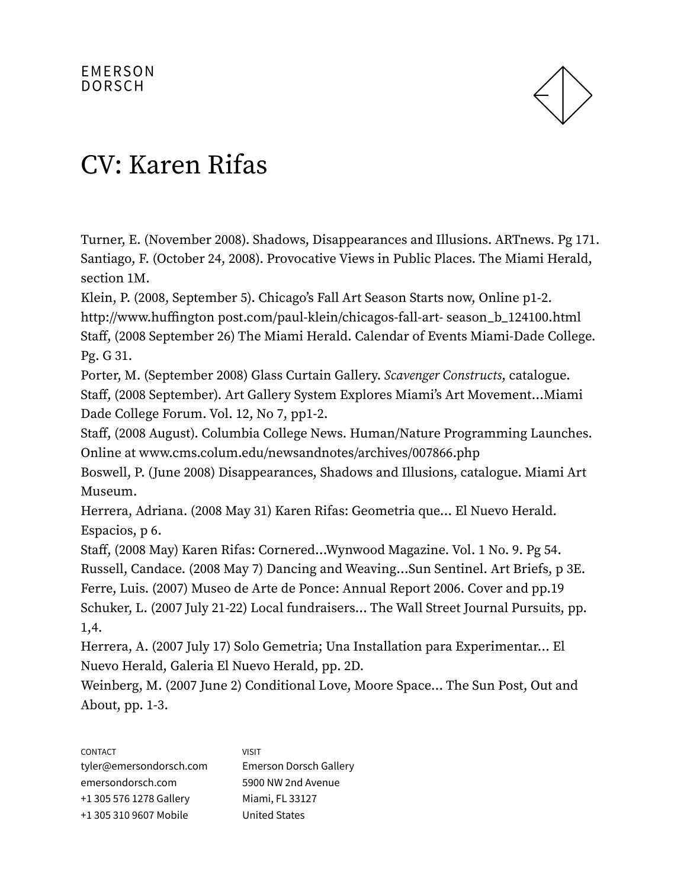

Turner, E. (November 2008). Shadows, Disappearances and Illusions. ARTnews. Pg 171. Santiago, F. (October 24, 2008). Provocative Views in Public Places. The Miami Herald, section 1M.

Klein, P. (2008, September 5). Chicago's Fall Art Season Starts now, Online p1-2. http://www.huffington post.com/paul-klein/chicagos-fall-art- season\_b\_124100.html Staff, (2008 September 26) The Miami Herald. Calendar of Events Miami-Dade College. Pg. G 31.

Porter, M. (September 2008) Glass Curtain Gallery. Scavenger Constructs, catalogue. Staff, (2008 September). Art Gallery System Explores Miami's Art Movement…Miami Dade College Forum. Vol. 12, No 7, pp1-2.

Staff, (2008 August). Columbia College News. Human/Nature Programming Launches. Online at www.cms.colum.edu/newsandnotes/archives/007866.php

Boswell, P. (June 2008) Disappearances, Shadows and Illusions, catalogue. Miami Art Museum.

Herrera, Adriana. (2008 May 31) Karen Rifas: Geometria que… El Nuevo Herald. Espacios, p 6.

Staff, (2008 May) Karen Rifas: Cornered…Wynwood Magazine. Vol. 1 No. 9. Pg 54. Russell, Candace. (2008 May 7) Dancing and Weaving…Sun Sentinel. Art Briefs, p 3E. Ferre, Luis. (2007) Museo de Arte de Ponce: Annual Report 2006. Cover and pp.19 Schuker, L. (2007 July 21-22) Local fundraisers… The Wall Street Journal Pursuits, pp. 1,4.

Herrera, A. (2007 July 17) Solo Gemetria; Una Installation para Experimentar… El Nuevo Herald, Galeria El Nuevo Herald, pp. 2D.

Weinberg, M. (2007 June 2) Conditional Love, Moore Space… The Sun Post, Out and About, pp. 1-3.

| <b>CONTACT</b>          | <b>VISIT</b>                  |
|-------------------------|-------------------------------|
| tyler@emersondorsch.com | <b>Emerson Dorsch Gallery</b> |
| emersondorsch.com       | 5900 NW 2nd Avenue            |
| +1 305 576 1278 Gallery | Miami, FL 33127               |
| +1 305 310 9607 Mobile  | <b>United States</b>          |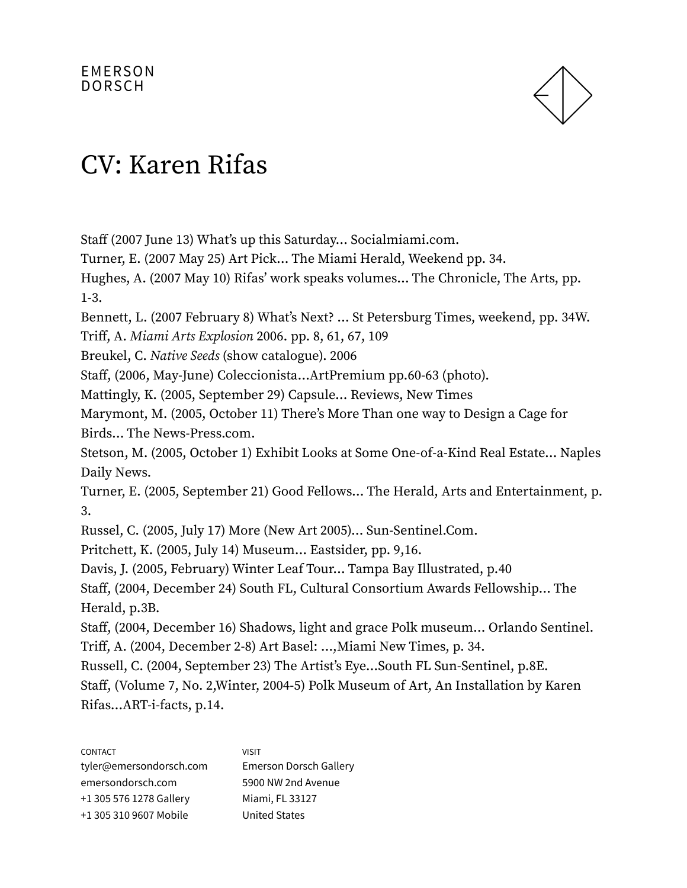

Staff (2007 June 13) What's up this Saturday… Socialmiami.com.

Turner, E. (2007 May 25) Art Pick… The Miami Herald, Weekend pp. 34.

Hughes, A. (2007 May 10) Rifas' work speaks volumes… The Chronicle, The Arts, pp. 1-3.

Bennett, L. (2007 February 8) What's Next? … St Petersburg Times, weekend, pp. 34W.

Triff, A. Miami Arts Explosion 2006. pp. 8, 61, 67, 109

Breukel, C. Native Seeds (show catalogue). 2006

Staff, (2006, May-June) Coleccionista…ArtPremium pp.60-63 (photo).

Mattingly, K. (2005, September 29) Capsule… Reviews, New Times

Marymont, M. (2005, October 11) There's More Than one way to Design a Cage for Birds… The News-Press.com.

Stetson, M. (2005, October 1) Exhibit Looks at Some One-of-a-Kind Real Estate… Naples Daily News.

Turner, E. (2005, September 21) Good Fellows… The Herald, Arts and Entertainment, p. 3.

Russel, C. (2005, July 17) More (New Art 2005)… Sun-Sentinel.Com.

Pritchett, K. (2005, July 14) Museum… Eastsider, pp. 9,16.

Davis, J. (2005, February) Winter Leaf Tour… Tampa Bay Illustrated, p.40

Staff, (2004, December 24) South FL, Cultural Consortium Awards Fellowship… The Herald, p.3B.

Staff, (2004, December 16) Shadows, light and grace Polk museum… Orlando Sentinel. Triff, A. (2004, December 2-8) Art Basel: …,Miami New Times, p. 34.

Russell, C. (2004, September 23) The Artist's Eye…South FL Sun-Sentinel, p.8E.

Staff, (Volume 7, No. 2,Winter, 2004-5) Polk Museum of Art, An Installation by Karen Rifas…ART-i-facts, p.14.

| <b>CONTACT</b>          | <b>VISIT</b>                  |
|-------------------------|-------------------------------|
| tyler@emersondorsch.com | <b>Emerson Dorsch Gallery</b> |
| emersondorsch.com       | 5900 NW 2nd Avenue            |
| +1 305 576 1278 Gallery | Miami, FL 33127               |
| +1 305 310 9607 Mobile  | <b>United States</b>          |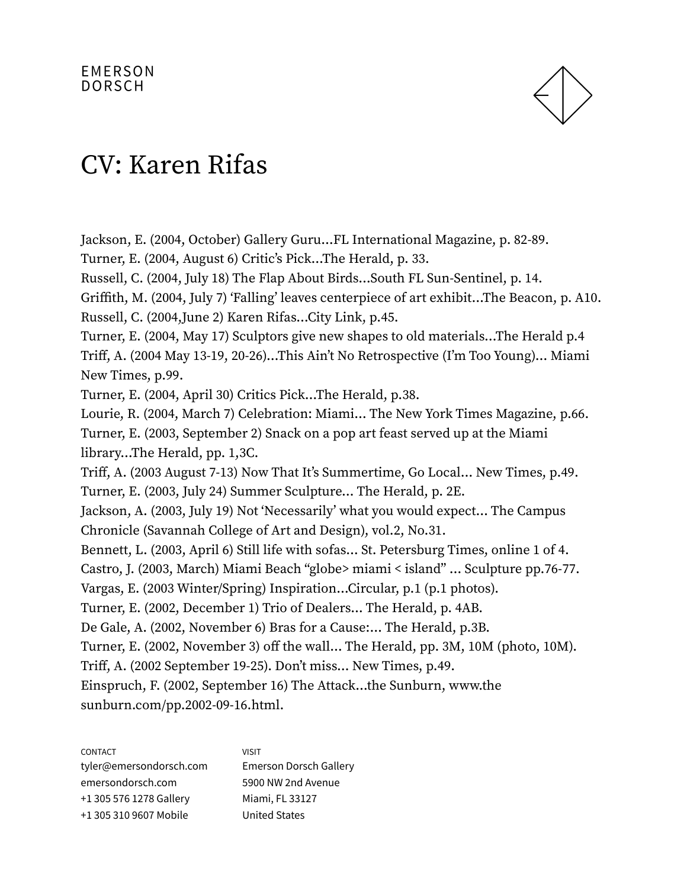

Jackson, E. (2004, October) Gallery Guru…FL International Magazine, p. 82-89. Turner, E. (2004, August 6) Critic's Pick…The Herald, p. 33. Russell, C. (2004, July 18) The Flap About Birds…South FL Sun-Sentinel, p. 14. Griffith, M. (2004, July 7) 'Falling' leaves centerpiece of art exhibit…The Beacon, p. A10. Russell, C. (2004,June 2) Karen Rifas…City Link, p.45. Turner, E. (2004, May 17) Sculptors give new shapes to old materials…The Herald p.4 Triff, A. (2004 May 13-19, 20-26)…This Ain't No Retrospective (I'm Too Young)… Miami New Times, p.99. Turner, E. (2004, April 30) Critics Pick…The Herald, p.38. Lourie, R. (2004, March 7) Celebration: Miami… The New York Times Magazine, p.66. Turner, E. (2003, September 2) Snack on a pop art feast served up at the Miami library…The Herald, pp. 1,3C. Triff, A. (2003 August 7-13) Now That It's Summertime, Go Local… New Times, p.49. Turner, E. (2003, July 24) Summer Sculpture… The Herald, p. 2E. Jackson, A. (2003, July 19) Not 'Necessarily' what you would expect… The Campus Chronicle (Savannah College of Art and Design), vol.2, No.31. Bennett, L. (2003, April 6) Still life with sofas… St. Petersburg Times, online 1 of 4. Castro, J. (2003, March) Miami Beach "globe> miami < island" … Sculpture pp.76-77. Vargas, E. (2003 Winter/Spring) Inspiration…Circular, p.1 (p.1 photos). Turner, E. (2002, December 1) Trio of Dealers… The Herald, p. 4AB. De Gale, A. (2002, November 6) Bras for a Cause:… The Herald, p.3B. Turner, E. (2002, November 3) off the wall… The Herald, pp. 3M, 10M (photo, 10M). Triff, A. (2002 September 19-25). Don't miss… New Times, p.49. Einspruch, F. (2002, September 16) The Attack…the Sunburn, www.the sunburn.com/pp.2002-09-16.html.

| <b>CONTACT</b>          | <b>VISIT</b>                  |
|-------------------------|-------------------------------|
| tyler@emersondorsch.com | <b>Emerson Dorsch Gallery</b> |
| emersondorsch.com       | 5900 NW 2nd Avenue            |
| +1 305 576 1278 Gallery | Miami, FL 33127               |
| +1 305 310 9607 Mobile  | <b>United States</b>          |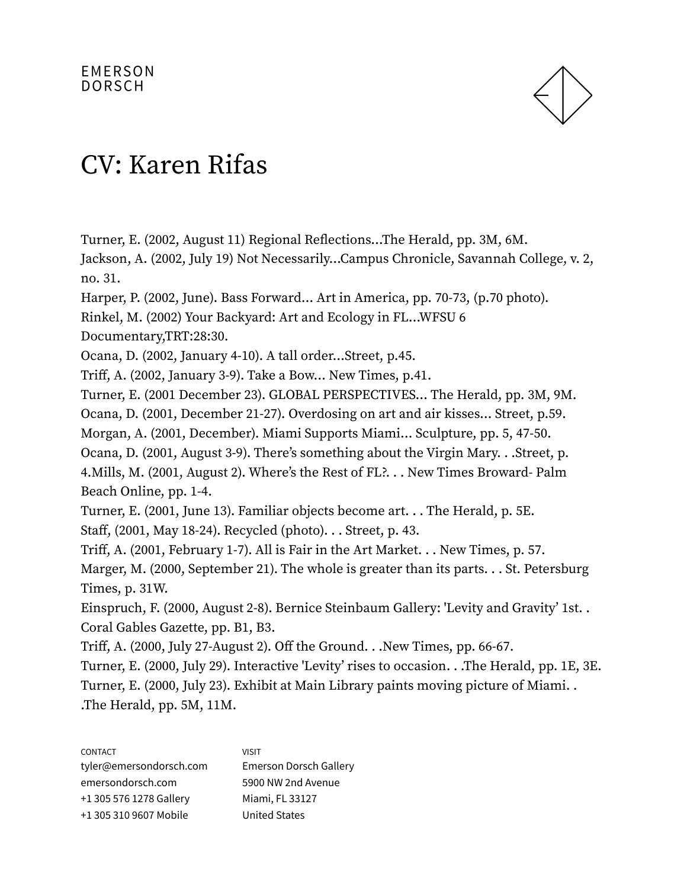

Turner, E. (2002, August 11) Regional Reflections…The Herald, pp. 3M, 6M.

Jackson, A. (2002, July 19) Not Necessarily…Campus Chronicle, Savannah College, v. 2, no. 31.

Harper, P. (2002, June). Bass Forward… Art in America, pp. 70-73, (p.70 photo).

Rinkel, M. (2002) Your Backyard: Art and Ecology in FL…WFSU 6

Documentary,TRT:28:30.

Ocana, D. (2002, January 4-10). A tall order…Street, p.45.

Triff, A. (2002, January 3-9). Take a Bow… New Times, p.41.

Turner, E. (2001 December 23). GLOBAL PERSPECTIVES… The Herald, pp. 3M, 9M.

Ocana, D. (2001, December 21-27). Overdosing on art and air kisses… Street, p.59.

Morgan, A. (2001, December). Miami Supports Miami… Sculpture, pp. 5, 47-50.

Ocana, D. (2001, August 3-9). There's something about the Virgin Mary. . .Street, p. 4.Mills, M. (2001, August 2). Where's the Rest of FL?. . . New Times Broward- Palm

Beach Online, pp. 1-4.

Turner, E. (2001, June 13). Familiar objects become art. . . The Herald, p. 5E. Staff, (2001, May 18-24). Recycled (photo). . . Street, p. 43.

Triff, A. (2001, February 1-7). All is Fair in the Art Market. . . New Times, p. 57.

Marger, M. (2000, September 21). The whole is greater than its parts. . . St. Petersburg Times, p. 31W.

Einspruch, F. (2000, August 2-8). Bernice Steinbaum Gallery: 'Levity and Gravity' 1st. . Coral Gables Gazette, pp. B1, B3.

Triff, A. (2000, July 27-August 2). Off the Ground. . .New Times, pp. 66-67.

Turner, E. (2000, July 29). Interactive 'Levity' rises to occasion. . .The Herald, pp. 1E, 3E. Turner, E. (2000, July 23). Exhibit at Main Library paints moving picture of Miami. . .The Herald, pp. 5M, 11M.

| <b>CONTACT</b>          | <b>VISIT</b>                  |
|-------------------------|-------------------------------|
| tyler@emersondorsch.com | <b>Emerson Dorsch Gallery</b> |
| emersondorsch.com       | 5900 NW 2nd Avenue            |
| +1 305 576 1278 Gallery | Miami, FL 33127               |
| +1 305 310 9607 Mobile  | <b>United States</b>          |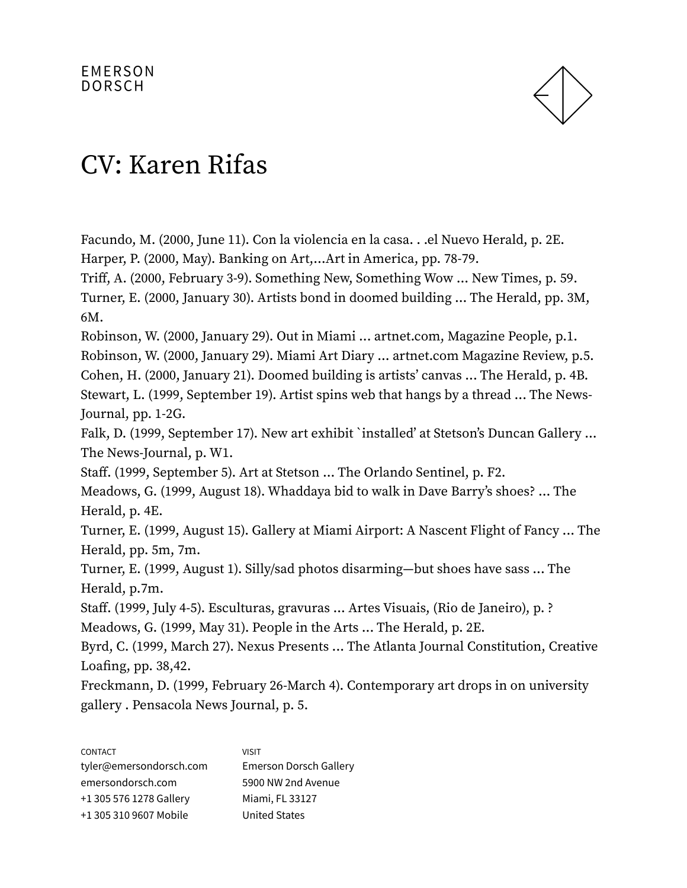

Facundo, M. (2000, June 11). Con la violencia en la casa. . .el Nuevo Herald, p. 2E. Harper, P. (2000, May). Banking on Art,…Art in America, pp. 78-79.

Triff, A. (2000, February 3-9). Something New, Something Wow ... New Times, p. 59. Turner, E. (2000, January 30). Artists bond in doomed building ... The Herald, pp. 3M, 6M.

Robinson, W. (2000, January 29). Out in Miami ... artnet.com, Magazine People, p.1. Robinson, W. (2000, January 29). Miami Art Diary ... artnet.com Magazine Review, p.5. Cohen, H. (2000, January 21). Doomed building is artists' canvas ... The Herald, p. 4B. Stewart, L. (1999, September 19). Artist spins web that hangs by a thread ... The News-

Journal, pp. 1-2G.

Falk, D. (1999, September 17). New art exhibit `installed' at Stetson's Duncan Gallery ... The News-Journal, p. W1.

Staff. (1999, September 5). Art at Stetson ... The Orlando Sentinel, p. F2.

Meadows, G. (1999, August 18). Whaddaya bid to walk in Dave Barry's shoes? ... The Herald, p. 4E.

Turner, E. (1999, August 15). Gallery at Miami Airport: A Nascent Flight of Fancy ... The Herald, pp. 5m, 7m.

Turner, E. (1999, August 1). Silly/sad photos disarming—but shoes have sass ... The Herald, p.7m.

Staff. (1999, July 4-5). Esculturas, gravuras ... Artes Visuais, (Rio de Janeiro), p. ? Meadows, G. (1999, May 31). People in the Arts ... The Herald, p. 2E.

Byrd, C. (1999, March 27). Nexus Presents ... The Atlanta Journal Constitution, Creative Loafing, pp. 38,42.

Freckmann, D. (1999, February 26-March 4). Contemporary art drops in on university gallery . Pensacola News Journal, p. 5.

| <b>CONTACT</b>          | <b>VISIT</b>                  |
|-------------------------|-------------------------------|
| tyler@emersondorsch.com | <b>Emerson Dorsch Gallery</b> |
| emersondorsch.com       | 5900 NW 2nd Avenue            |
| +1 305 576 1278 Gallery | Miami, FL 33127               |
| +1 305 310 9607 Mobile  | <b>United States</b>          |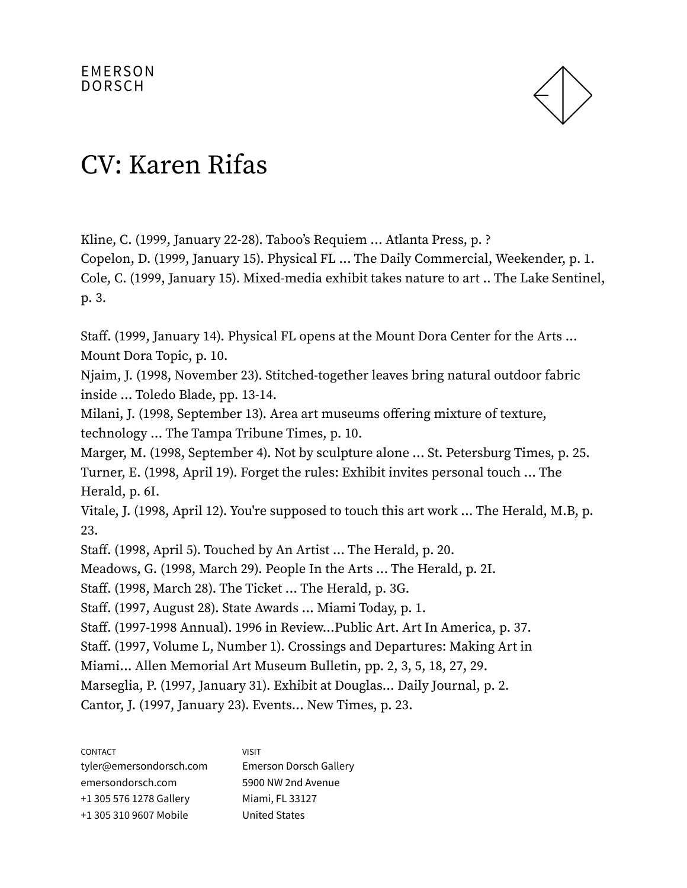

Kline, C. (1999, January 22-28). Taboo's Requiem ... Atlanta Press, p. ? Copelon, D. (1999, January 15). Physical FL ... The Daily Commercial, Weekender, p. 1. Cole, C. (1999, January 15). Mixed-media exhibit takes nature to art .. The Lake Sentinel, p. 3.

Staff. (1999, January 14). Physical FL opens at the Mount Dora Center for the Arts ... Mount Dora Topic, p. 10.

Njaim, J. (1998, November 23). Stitched-together leaves bring natural outdoor fabric inside ... Toledo Blade, pp. 13-14.

Milani, J. (1998, September 13). Area art museums offering mixture of texture, technology ... The Tampa Tribune Times, p. 10.

Marger, M. (1998, September 4). Not by sculpture alone ... St. Petersburg Times, p. 25. Turner, E. (1998, April 19). Forget the rules: Exhibit invites personal touch ... The Herald, p. 6I.

Vitale, J. (1998, April 12). You're supposed to touch this art work ... The Herald, M.B, p. 23.

Staff. (1998, April 5). Touched by An Artist ... The Herald, p. 20.

Meadows, G. (1998, March 29). People In the Arts ... The Herald, p. 2I.

Staff. (1998, March 28). The Ticket ... The Herald, p. 3G.

Staff. (1997, August 28). State Awards ... Miami Today, p. 1.

Staff. (1997-1998 Annual). 1996 in Review...Public Art. Art In America, p. 37.

Staff. (1997, Volume L, Number 1). Crossings and Departures: Making Art in

Miami... Allen Memorial Art Museum Bulletin, pp. 2, 3, 5, 18, 27, 29.

Marseglia, P. (1997, January 31). Exhibit at Douglas... Daily Journal, p. 2.

Cantor, J. (1997, January 23). Events... New Times, p. 23.

| <b>CONTACT</b>          | <b>VISIT</b>                  |
|-------------------------|-------------------------------|
| tyler@emersondorsch.com | <b>Emerson Dorsch Gallery</b> |
| emersondorsch.com       | 5900 NW 2nd Avenue            |
| +1 305 576 1278 Gallery | Miami, FL 33127               |
| +1 305 310 9607 Mobile  | <b>United States</b>          |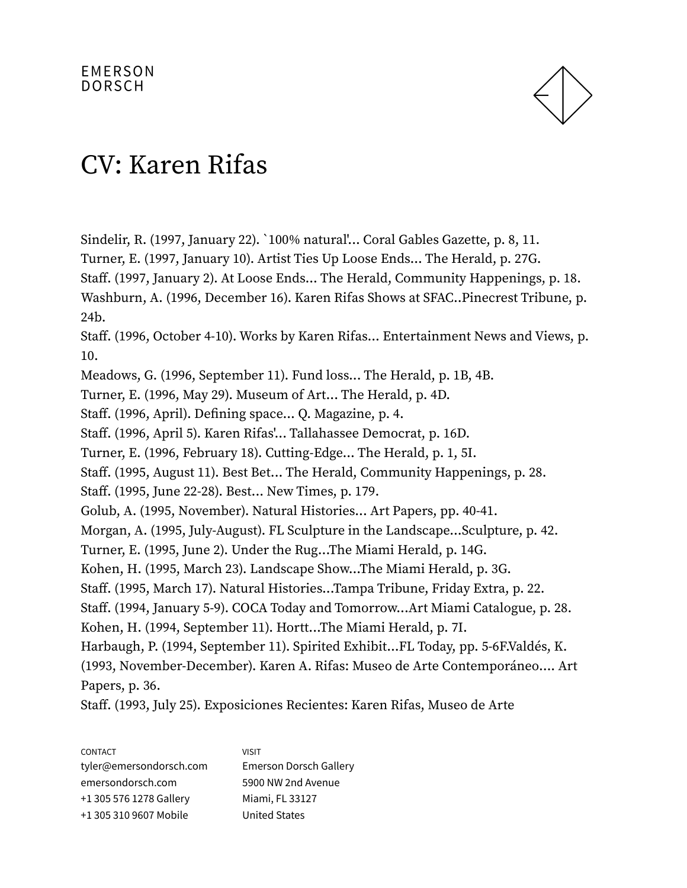

Sindelir, R. (1997, January 22). `100% natural'... Coral Gables Gazette, p. 8, 11. Turner, E. (1997, January 10). Artist Ties Up Loose Ends... The Herald, p. 27G. Staff. (1997, January 2). At Loose Ends... The Herald, Community Happenings, p. 18. Washburn, A. (1996, December 16). Karen Rifas Shows at SFAC..Pinecrest Tribune, p. 24b. Staff. (1996, October 4-10). Works by Karen Rifas... Entertainment News and Views, p. 10. Meadows, G. (1996, September 11). Fund loss... The Herald, p. 1B, 4B. Turner, E. (1996, May 29). Museum of Art... The Herald, p. 4D. Staff. (1996, April). Defining space... Q. Magazine, p. 4. Staff. (1996, April 5). Karen Rifas'... Tallahassee Democrat, p. 16D. Turner, E. (1996, February 18). Cutting-Edge... The Herald, p. 1, 5I. Staff. (1995, August 11). Best Bet... The Herald, Community Happenings, p. 28. Staff. (1995, June 22-28). Best... New Times, p. 179. Golub, A. (1995, November). Natural Histories... Art Papers, pp. 40-41. Morgan, A. (1995, July-August). FL Sculpture in the Landscape...Sculpture, p. 42. Turner, E. (1995, June 2). Under the Rug...The Miami Herald, p. 14G. Kohen, H. (1995, March 23). Landscape Show...The Miami Herald, p. 3G. Staff. (1995, March 17). Natural Histories...Tampa Tribune, Friday Extra, p. 22. Staff. (1994, January 5-9). COCA Today and Tomorrow...Art Miami Catalogue, p. 28. Kohen, H. (1994, September 11). Hortt...The Miami Herald, p. 7I. Harbaugh, P. (1994, September 11). Spirited Exhibit...FL Today, pp. 5-6F.Valdés, K. (1993, November-December). Karen A. Rifas: Museo de Arte Contemporáneo…. Art Papers, p. 36.

Staff. (1993, July 25). Exposiciones Recientes: Karen Rifas, Museo de Arte

| <b>CONTACT</b>          | <b>VISIT</b>                  |
|-------------------------|-------------------------------|
| tyler@emersondorsch.com | <b>Emerson Dorsch Gallery</b> |
| emersondorsch.com       | 5900 NW 2nd Avenue            |
| +1 305 576 1278 Gallery | Miami, FL 33127               |
| +1 305 310 9607 Mobile  | <b>United States</b>          |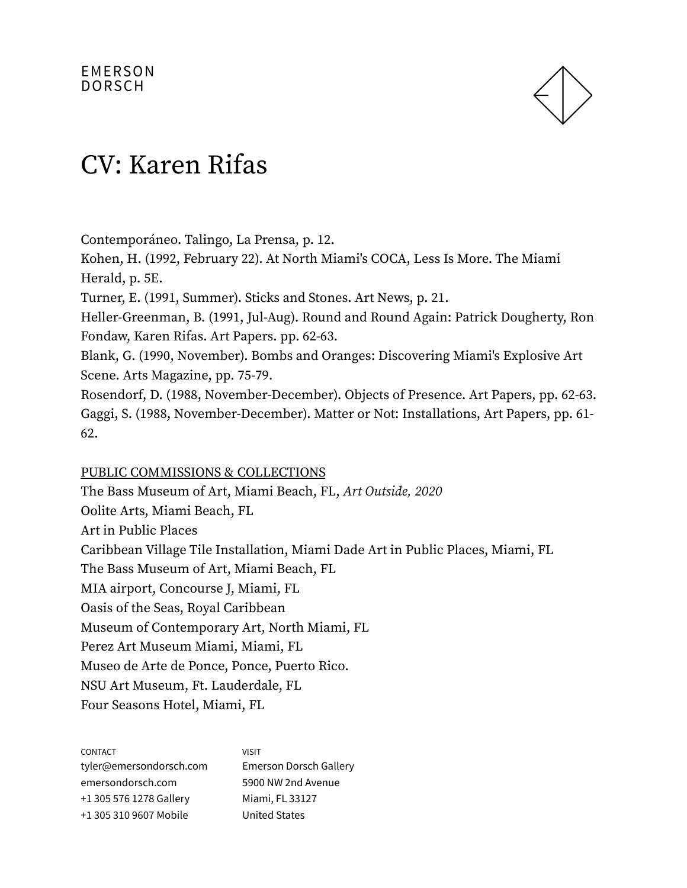

Contemporáneo. Talingo, La Prensa, p. 12.

Kohen, H. (1992, February 22). At North Miami's COCA, Less Is More. The Miami Herald, p. 5E.

Turner, E. (1991, Summer). Sticks and Stones. Art News, p. 21.

Heller-Greenman, B. (1991, Jul-Aug). Round and Round Again: Patrick Dougherty, Ron Fondaw, Karen Rifas. Art Papers. pp. 62-63.

Blank, G. (1990, November). Bombs and Oranges: Discovering Miami's Explosive Art Scene. Arts Magazine, pp. 75-79.

Rosendorf, D. (1988, November-December). Objects of Presence. Art Papers, pp. 62-63. Gaggi, S. (1988, November-December). Matter or Not: Installations, Art Papers, pp. 61- 62.

#### PUBLIC COMMISSIONS & COLLECTIONS

The Bass Museum of Art, Miami Beach, FL, Art Outside, 2020 Oolite Arts, Miami Beach, FL Art in Public Places Caribbean Village Tile Installation, Miami Dade Art in Public Places, Miami, FL The Bass Museum of Art, Miami Beach, FL MIA airport, Concourse J, Miami, FL Oasis of the Seas, Royal Caribbean Museum of Contemporary Art, North Miami, FL Perez Art Museum Miami, Miami, FL Museo de Arte de Ponce, Ponce, Puerto Rico. NSU Art Museum, Ft. Lauderdale, FL Four Seasons Hotel, Miami, FL

| <b>VISIT</b>           |
|------------------------|
| Emerson Dorsch Gallery |
| 5900 NW 2nd Avenue     |
| Miami, FL 33127        |
| <b>United States</b>   |
|                        |